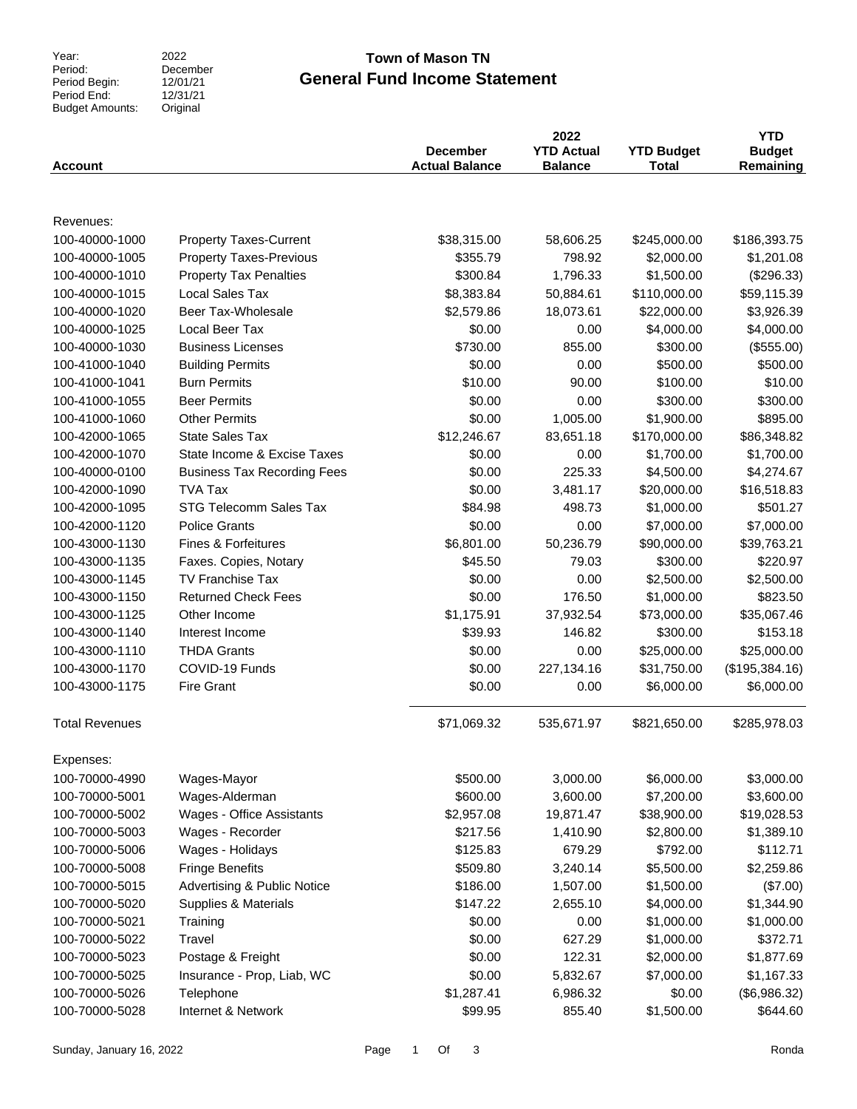Year:<br>Period: Period Begin: Period End: Budget Amounts:

#### 2022 December 12/01/21  $12/31/21$ Original

### **General Fund Income Statement Town of Mason TN**

| <b>Account</b>        |                                        | <b>December</b><br><b>Actual Balance</b> | 2022<br><b>YTD Actual</b><br><b>Balance</b> | <b>YTD Budget</b><br><b>Total</b> | <b>YTD</b><br><b>Budget</b><br>Remaining |
|-----------------------|----------------------------------------|------------------------------------------|---------------------------------------------|-----------------------------------|------------------------------------------|
|                       |                                        |                                          |                                             |                                   |                                          |
| Revenues:             |                                        |                                          |                                             |                                   |                                          |
| 100-40000-1000        | <b>Property Taxes-Current</b>          | \$38,315.00                              | 58,606.25                                   | \$245,000.00                      | \$186,393.75                             |
| 100-40000-1005        | <b>Property Taxes-Previous</b>         | \$355.79                                 | 798.92                                      | \$2,000.00                        | \$1,201.08                               |
| 100-40000-1010        | <b>Property Tax Penalties</b>          | \$300.84                                 | 1,796.33                                    | \$1,500.00                        | (\$296.33)                               |
| 100-40000-1015        | <b>Local Sales Tax</b>                 | \$8,383.84                               | 50,884.61                                   | \$110,000.00                      | \$59,115.39                              |
| 100-40000-1020        | Beer Tax-Wholesale                     | \$2,579.86                               | 18,073.61                                   | \$22,000.00                       | \$3,926.39                               |
| 100-40000-1025        | Local Beer Tax                         | \$0.00                                   | 0.00                                        | \$4,000.00                        | \$4,000.00                               |
| 100-40000-1030        | <b>Business Licenses</b>               | \$730.00                                 | 855.00                                      | \$300.00                          | (\$555.00)                               |
| 100-41000-1040        | <b>Building Permits</b>                | \$0.00                                   | 0.00                                        | \$500.00                          | \$500.00                                 |
| 100-41000-1041        | <b>Burn Permits</b>                    | \$10.00                                  | 90.00                                       | \$100.00                          | \$10.00                                  |
| 100-41000-1055        | <b>Beer Permits</b>                    | \$0.00                                   | 0.00                                        | \$300.00                          | \$300.00                                 |
| 100-41000-1060        | <b>Other Permits</b>                   | \$0.00                                   | 1,005.00                                    | \$1,900.00                        | \$895.00                                 |
| 100-42000-1065        | <b>State Sales Tax</b>                 | \$12,246.67                              | 83,651.18                                   | \$170,000.00                      | \$86,348.82                              |
| 100-42000-1070        | State Income & Excise Taxes            | \$0.00                                   | 0.00                                        | \$1,700.00                        | \$1,700.00                               |
| 100-40000-0100        | <b>Business Tax Recording Fees</b>     | \$0.00                                   | 225.33                                      | \$4,500.00                        | \$4,274.67                               |
| 100-42000-1090        | <b>TVA Tax</b>                         | \$0.00                                   | 3,481.17                                    | \$20,000.00                       | \$16,518.83                              |
| 100-42000-1095        | STG Telecomm Sales Tax                 | \$84.98                                  | 498.73                                      | \$1,000.00                        | \$501.27                                 |
| 100-42000-1120        | <b>Police Grants</b>                   | \$0.00                                   | 0.00                                        | \$7,000.00                        | \$7,000.00                               |
| 100-43000-1130        | <b>Fines &amp; Forfeitures</b>         | \$6,801.00                               | 50,236.79                                   | \$90,000.00                       | \$39,763.21                              |
| 100-43000-1135        | Faxes. Copies, Notary                  | \$45.50                                  | 79.03                                       | \$300.00                          | \$220.97                                 |
| 100-43000-1145        | <b>TV Franchise Tax</b>                | \$0.00                                   | 0.00                                        | \$2,500.00                        | \$2,500.00                               |
| 100-43000-1150        | <b>Returned Check Fees</b>             | \$0.00                                   | 176.50                                      | \$1,000.00                        | \$823.50                                 |
| 100-43000-1125        | Other Income                           | \$1,175.91                               | 37,932.54                                   | \$73,000.00                       | \$35,067.46                              |
| 100-43000-1140        | Interest Income                        | \$39.93                                  | 146.82                                      | \$300.00                          | \$153.18                                 |
| 100-43000-1110        | <b>THDA Grants</b>                     | \$0.00                                   | 0.00                                        | \$25,000.00                       | \$25,000.00                              |
| 100-43000-1170        | COVID-19 Funds                         | \$0.00                                   | 227,134.16                                  | \$31,750.00                       | (\$195,384.16)                           |
| 100-43000-1175        | <b>Fire Grant</b>                      | \$0.00                                   | 0.00                                        | \$6,000.00                        | \$6,000.00                               |
|                       |                                        |                                          |                                             |                                   |                                          |
| <b>Total Revenues</b> |                                        | \$71,069.32                              | 535,671.97                                  | \$821,650.00                      | \$285,978.03                             |
| Expenses:             |                                        |                                          |                                             |                                   |                                          |
| 100-70000-4990        | Wages-Mayor                            | \$500.00                                 | 3,000.00                                    | \$6,000.00                        | \$3,000.00                               |
| 100-70000-5001        | Wages-Alderman                         | \$600.00                                 | 3,600.00                                    | \$7,200.00                        | \$3,600.00                               |
| 100-70000-5002        | Wages - Office Assistants              | \$2,957.08                               | 19,871.47                                   | \$38,900.00                       | \$19,028.53                              |
| 100-70000-5003        | Wages - Recorder                       | \$217.56                                 | 1,410.90                                    | \$2,800.00                        | \$1,389.10                               |
| 100-70000-5006        | Wages - Holidays                       | \$125.83                                 | 679.29                                      | \$792.00                          | \$112.71                                 |
| 100-70000-5008        | <b>Fringe Benefits</b>                 | \$509.80                                 | 3,240.14                                    | \$5,500.00                        | \$2,259.86                               |
| 100-70000-5015        | <b>Advertising &amp; Public Notice</b> | \$186.00                                 | 1,507.00                                    | \$1,500.00                        | (\$7.00)                                 |
| 100-70000-5020        | Supplies & Materials                   | \$147.22                                 | 2,655.10                                    | \$4,000.00                        | \$1,344.90                               |
| 100-70000-5021        | Training                               | \$0.00                                   | 0.00                                        | \$1,000.00                        | \$1,000.00                               |
| 100-70000-5022        | Travel                                 | \$0.00                                   | 627.29                                      | \$1,000.00                        | \$372.71                                 |
| 100-70000-5023        | Postage & Freight                      | \$0.00                                   | 122.31                                      | \$2,000.00                        | \$1,877.69                               |
| 100-70000-5025        | Insurance - Prop, Liab, WC             | \$0.00                                   | 5,832.67                                    | \$7,000.00                        | \$1,167.33                               |
| 100-70000-5026        | Telephone                              | \$1,287.41                               | 6,986.32                                    | \$0.00                            | (\$6,986.32)                             |
| 100-70000-5028        | Internet & Network                     | \$99.95                                  | 855.40                                      | \$1,500.00                        | \$644.60                                 |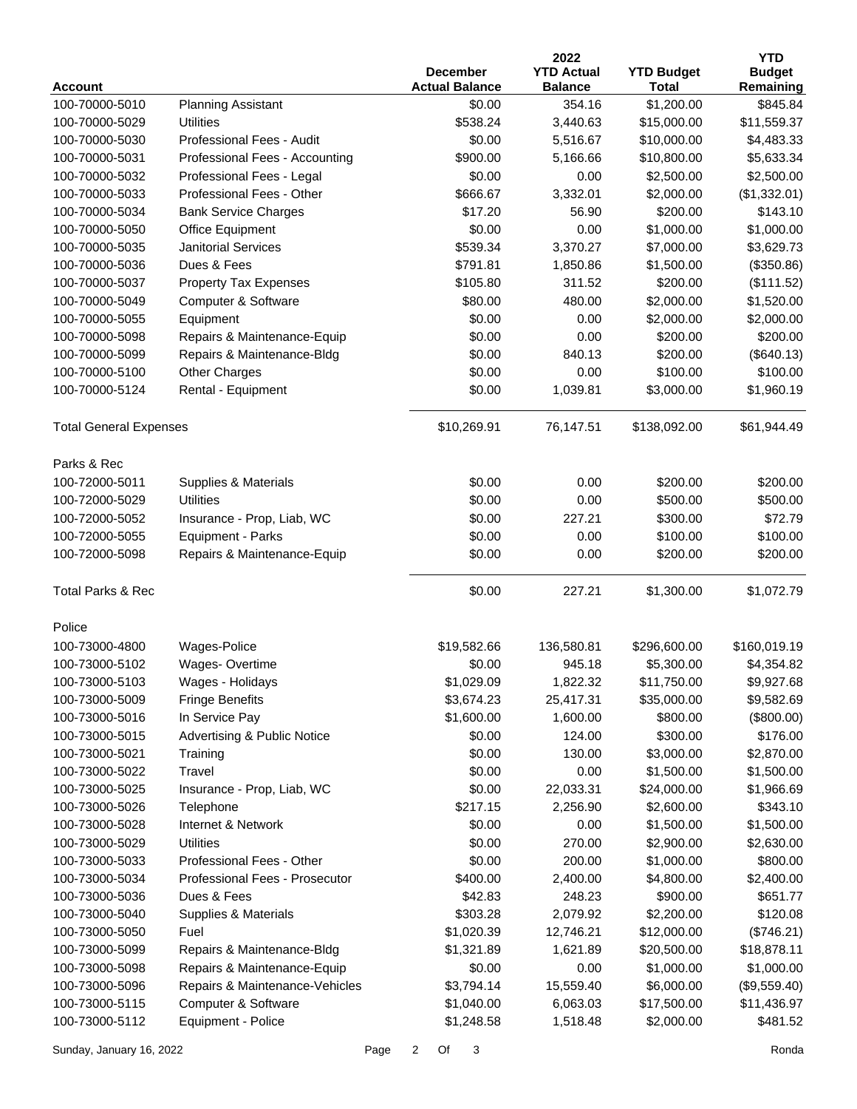|                                  |                                               |                      |                          | 2022                     |                            | <b>YTD</b>            |
|----------------------------------|-----------------------------------------------|----------------------|--------------------------|--------------------------|----------------------------|-----------------------|
|                                  |                                               |                      | <b>December</b>          | <b>YTD Actual</b>        | <b>YTD Budget</b>          | <b>Budget</b>         |
| <b>Account</b><br>100-70000-5010 |                                               |                      | <b>Actual Balance</b>    | <b>Balance</b><br>354.16 | <b>Total</b><br>\$1,200.00 | Remaining<br>\$845.84 |
|                                  | <b>Planning Assistant</b><br><b>Utilities</b> |                      | \$0.00                   |                          |                            |                       |
| 100-70000-5029                   | Professional Fees - Audit                     |                      | \$538.24                 | 3,440.63                 | \$15,000.00<br>\$10,000.00 | \$11,559.37           |
| 100-70000-5030                   |                                               |                      | \$0.00                   | 5,516.67                 |                            | \$4,483.33            |
| 100-70000-5031                   | Professional Fees - Accounting                |                      | \$900.00                 | 5,166.66                 | \$10,800.00                | \$5,633.34            |
| 100-70000-5032                   | Professional Fees - Legal                     |                      | \$0.00                   | 0.00                     | \$2,500.00                 | \$2,500.00            |
| 100-70000-5033                   | Professional Fees - Other                     |                      | \$666.67                 | 3,332.01                 | \$2,000.00                 | (\$1,332.01)          |
| 100-70000-5034                   | <b>Bank Service Charges</b>                   |                      | \$17.20                  | 56.90                    | \$200.00                   | \$143.10              |
| 100-70000-5050                   | <b>Office Equipment</b>                       |                      | \$0.00                   | 0.00                     | \$1,000.00                 | \$1,000.00            |
| 100-70000-5035                   | <b>Janitorial Services</b>                    |                      | \$539.34                 | 3,370.27                 | \$7,000.00                 | \$3,629.73            |
| 100-70000-5036                   | Dues & Fees                                   |                      | \$791.81                 | 1,850.86                 | \$1,500.00                 | (\$350.86)            |
| 100-70000-5037                   | <b>Property Tax Expenses</b>                  |                      | \$105.80                 | 311.52                   | \$200.00                   | (\$111.52)            |
| 100-70000-5049                   | Computer & Software                           |                      | \$80.00                  | 480.00                   | \$2,000.00                 | \$1,520.00            |
| 100-70000-5055                   | Equipment                                     |                      | \$0.00                   | 0.00                     | \$2,000.00                 | \$2,000.00            |
| 100-70000-5098                   | Repairs & Maintenance-Equip                   |                      | \$0.00                   | 0.00                     | \$200.00                   | \$200.00              |
| 100-70000-5099                   | Repairs & Maintenance-Bldg                    |                      | \$0.00                   | 840.13                   | \$200.00                   | (\$640.13)            |
| 100-70000-5100                   | <b>Other Charges</b>                          |                      | \$0.00                   | 0.00                     | \$100.00                   | \$100.00              |
| 100-70000-5124                   | Rental - Equipment                            |                      | \$0.00                   | 1,039.81                 | \$3,000.00                 | \$1,960.19            |
| <b>Total General Expenses</b>    |                                               |                      | \$10,269.91              | 76,147.51                | \$138,092.00               | \$61,944.49           |
| Parks & Rec                      |                                               |                      |                          |                          |                            |                       |
| 100-72000-5011                   | Supplies & Materials                          |                      | \$0.00                   | 0.00                     | \$200.00                   | \$200.00              |
| 100-72000-5029                   | Utilities                                     |                      | \$0.00                   | 0.00                     | \$500.00                   | \$500.00              |
| 100-72000-5052                   | Insurance - Prop, Liab, WC                    |                      | \$0.00                   | 227.21                   | \$300.00                   | \$72.79               |
| 100-72000-5055                   | Equipment - Parks                             |                      | \$0.00                   | 0.00                     | \$100.00                   | \$100.00              |
| 100-72000-5098                   | Repairs & Maintenance-Equip                   |                      | \$0.00                   | 0.00                     | \$200.00                   | \$200.00              |
| <b>Total Parks &amp; Rec</b>     |                                               |                      | \$0.00                   | 227.21                   | \$1,300.00                 | \$1,072.79            |
| Police                           |                                               |                      |                          |                          |                            |                       |
| 100-73000-4800                   | Wages-Police                                  |                      | \$19,582.66              | 136,580.81               | \$296,600.00               | \$160,019.19          |
| 100-73000-5102                   | Wages-Overtime                                |                      | \$0.00                   | 945.18                   | \$5,300.00                 | \$4,354.82            |
|                                  | Wages - Holidays                              |                      | \$1,029.09               | 1,822.32                 | \$11,750.00                | \$9,927.68            |
| 100-73000-5103                   |                                               |                      |                          |                          | \$35,000.00                |                       |
| 100-73000-5009                   | <b>Fringe Benefits</b>                        |                      | \$3,674.23<br>\$1,600.00 | 25,417.31                |                            | \$9,582.69            |
| 100-73000-5016                   | In Service Pay                                |                      |                          | 1,600.00<br>124.00       | \$800.00                   | (\$800.00)            |
| 100-73000-5015                   | <b>Advertising &amp; Public Notice</b>        |                      | \$0.00                   |                          | \$300.00                   | \$176.00              |
| 100-73000-5021                   | Training                                      |                      | \$0.00                   | 130.00                   | \$3,000.00                 | \$2,870.00            |
| 100-73000-5022                   | Travel                                        |                      | \$0.00                   | 0.00                     | \$1,500.00                 | \$1,500.00            |
| 100-73000-5025                   | Insurance - Prop, Liab, WC                    |                      | \$0.00                   | 22,033.31                | \$24,000.00                | \$1,966.69            |
| 100-73000-5026                   | Telephone                                     |                      | \$217.15                 | 2,256.90                 | \$2,600.00                 | \$343.10              |
| 100-73000-5028                   | Internet & Network                            |                      | \$0.00                   | 0.00                     | \$1,500.00                 | \$1,500.00            |
| 100-73000-5029                   | <b>Utilities</b>                              |                      | \$0.00                   | 270.00                   | \$2,900.00                 | \$2,630.00            |
| 100-73000-5033                   | Professional Fees - Other                     |                      | \$0.00                   | 200.00                   | \$1,000.00                 | \$800.00              |
| 100-73000-5034                   | Professional Fees - Prosecutor                |                      | \$400.00                 | 2,400.00                 | \$4,800.00                 | \$2,400.00            |
| 100-73000-5036                   | Dues & Fees                                   |                      | \$42.83                  | 248.23                   | \$900.00                   | \$651.77              |
| 100-73000-5040                   | Supplies & Materials                          |                      | \$303.28                 | 2,079.92                 | \$2,200.00                 | \$120.08              |
| 100-73000-5050                   | Fuel                                          |                      | \$1,020.39               | 12,746.21                | \$12,000.00                | (\$746.21)            |
| 100-73000-5099                   | Repairs & Maintenance-Bldg                    |                      | \$1,321.89               | 1,621.89                 | \$20,500.00                | \$18,878.11           |
| 100-73000-5098                   | Repairs & Maintenance-Equip                   |                      | \$0.00                   | 0.00                     | \$1,000.00                 | \$1,000.00            |
| 100-73000-5096                   | Repairs & Maintenance-Vehicles                |                      | \$3,794.14               | 15,559.40                | \$6,000.00                 | (\$9,559.40)          |
| 100-73000-5115                   | Computer & Software                           |                      | \$1,040.00               | 6,063.03                 | \$17,500.00                | \$11,436.97           |
| 100-73000-5112                   | Equipment - Police                            |                      | \$1,248.58               | 1,518.48                 | \$2,000.00                 | \$481.52              |
| Sunday, January 16, 2022         | Page                                          | $\overline{2}$<br>Of | 3                        |                          |                            | Ronda                 |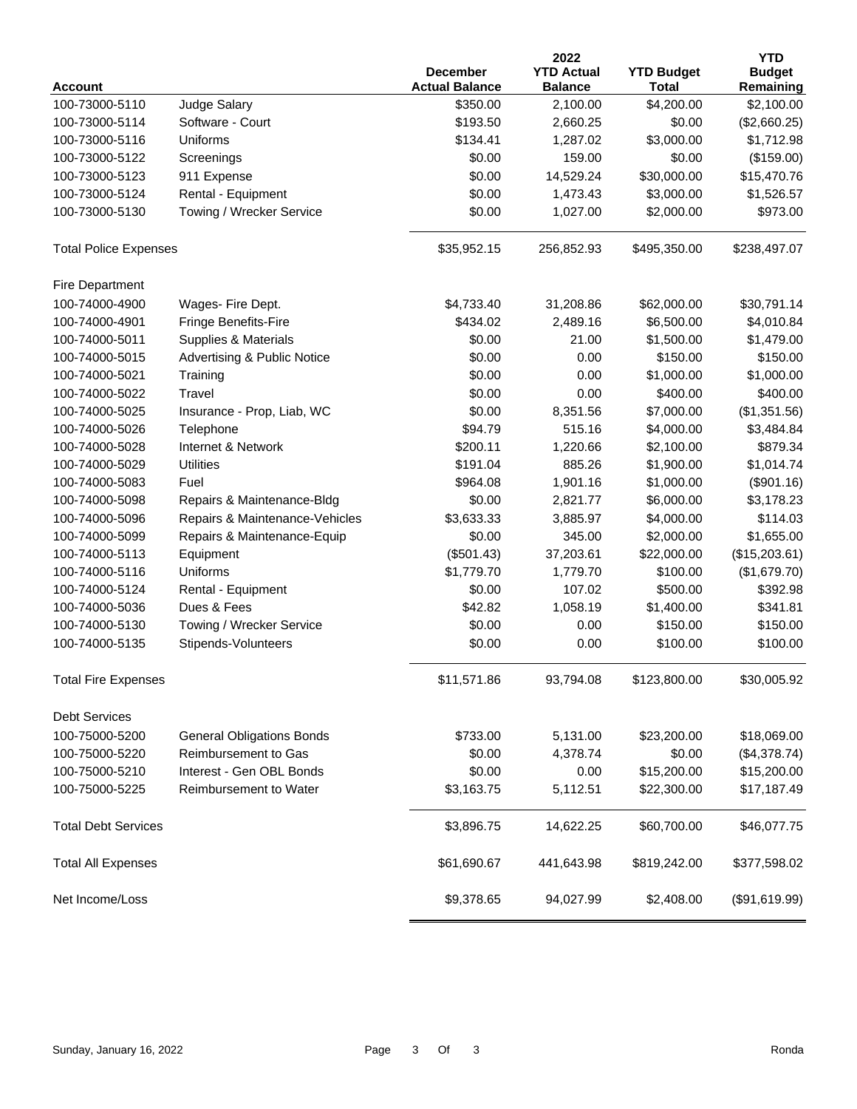|                              |                                        |                                          | 2022                                |                                   | <b>YTD</b>                 |
|------------------------------|----------------------------------------|------------------------------------------|-------------------------------------|-----------------------------------|----------------------------|
| <b>Account</b>               |                                        | <b>December</b><br><b>Actual Balance</b> | <b>YTD Actual</b><br><b>Balance</b> | <b>YTD Budget</b><br><b>Total</b> | <b>Budget</b><br>Remaining |
| 100-73000-5110               | Judge Salary                           | \$350.00                                 | 2,100.00                            | \$4,200.00                        | \$2,100.00                 |
| 100-73000-5114               | Software - Court                       | \$193.50                                 | 2,660.25                            | \$0.00                            | (\$2,660.25)               |
| 100-73000-5116               | Uniforms                               | \$134.41                                 | 1,287.02                            | \$3,000.00                        | \$1,712.98                 |
| 100-73000-5122               | Screenings                             | \$0.00                                   | 159.00                              | \$0.00                            | (\$159.00)                 |
| 100-73000-5123               | 911 Expense                            | \$0.00                                   | 14,529.24                           | \$30,000.00                       | \$15,470.76                |
| 100-73000-5124               | Rental - Equipment                     | \$0.00                                   | 1,473.43                            | \$3,000.00                        | \$1,526.57                 |
| 100-73000-5130               | Towing / Wrecker Service               | \$0.00                                   | 1,027.00                            | \$2,000.00                        | \$973.00                   |
| <b>Total Police Expenses</b> |                                        | \$35,952.15                              | 256,852.93                          | \$495,350.00                      | \$238,497.07               |
| Fire Department              |                                        |                                          |                                     |                                   |                            |
| 100-74000-4900               | Wages- Fire Dept.                      | \$4,733.40                               | 31,208.86                           | \$62,000.00                       | \$30,791.14                |
| 100-74000-4901               | Fringe Benefits-Fire                   | \$434.02                                 | 2,489.16                            | \$6,500.00                        | \$4,010.84                 |
| 100-74000-5011               | Supplies & Materials                   | \$0.00                                   | 21.00                               | \$1,500.00                        | \$1,479.00                 |
| 100-74000-5015               | <b>Advertising &amp; Public Notice</b> | \$0.00                                   | 0.00                                | \$150.00                          | \$150.00                   |
| 100-74000-5021               | Training                               | \$0.00                                   | 0.00                                | \$1,000.00                        | \$1,000.00                 |
| 100-74000-5022               | Travel                                 | \$0.00                                   | 0.00                                | \$400.00                          | \$400.00                   |
| 100-74000-5025               | Insurance - Prop, Liab, WC             | \$0.00                                   | 8,351.56                            | \$7,000.00                        | (\$1,351.56)               |
| 100-74000-5026               | Telephone                              | \$94.79                                  | 515.16                              | \$4,000.00                        | \$3,484.84                 |
| 100-74000-5028               | Internet & Network                     | \$200.11                                 | 1,220.66                            | \$2,100.00                        | \$879.34                   |
| 100-74000-5029               | <b>Utilities</b>                       | \$191.04                                 | 885.26                              | \$1,900.00                        | \$1,014.74                 |
| 100-74000-5083               | Fuel                                   | \$964.08                                 | 1,901.16                            | \$1,000.00                        | (\$901.16)                 |
| 100-74000-5098               | Repairs & Maintenance-Bldg             | \$0.00                                   | 2,821.77                            | \$6,000.00                        | \$3,178.23                 |
| 100-74000-5096               | Repairs & Maintenance-Vehicles         | \$3,633.33                               | 3,885.97                            | \$4,000.00                        | \$114.03                   |
| 100-74000-5099               | Repairs & Maintenance-Equip            | \$0.00                                   | 345.00                              | \$2,000.00                        | \$1,655.00                 |
| 100-74000-5113               | Equipment                              | (\$501.43)                               | 37,203.61                           | \$22,000.00                       | (\$15,203.61)              |
| 100-74000-5116               | Uniforms                               | \$1,779.70                               | 1,779.70                            | \$100.00                          | (\$1,679.70)               |
| 100-74000-5124               | Rental - Equipment                     | \$0.00                                   | 107.02                              | \$500.00                          | \$392.98                   |
| 100-74000-5036               | Dues & Fees                            | \$42.82                                  | 1,058.19                            | \$1,400.00                        | \$341.81                   |
| 100-74000-5130               | Towing / Wrecker Service               | \$0.00                                   | 0.00                                | \$150.00                          | \$150.00                   |
| 100-74000-5135               | Stipends-Volunteers                    | \$0.00                                   | 0.00                                | \$100.00                          | \$100.00                   |
| <b>Total Fire Expenses</b>   |                                        | \$11,571.86                              | 93,794.08                           | \$123,800.00                      | \$30,005.92                |
| <b>Debt Services</b>         |                                        |                                          |                                     |                                   |                            |
| 100-75000-5200               | <b>General Obligations Bonds</b>       | \$733.00                                 | 5,131.00                            | \$23,200.00                       | \$18,069.00                |
| 100-75000-5220               | Reimbursement to Gas                   | \$0.00                                   | 4,378.74                            | \$0.00                            | (\$4,378.74)               |
| 100-75000-5210               | Interest - Gen OBL Bonds               | \$0.00                                   | 0.00                                | \$15,200.00                       | \$15,200.00                |
| 100-75000-5225               | Reimbursement to Water                 | \$3,163.75                               | 5,112.51                            | \$22,300.00                       | \$17,187.49                |
| <b>Total Debt Services</b>   |                                        | \$3,896.75                               | 14,622.25                           | \$60,700.00                       | \$46,077.75                |
| <b>Total All Expenses</b>    |                                        | \$61,690.67                              | 441,643.98                          | \$819,242.00                      | \$377,598.02               |
| Net Income/Loss              |                                        | \$9,378.65                               | 94,027.99                           | \$2,408.00                        | (\$91,619.99)              |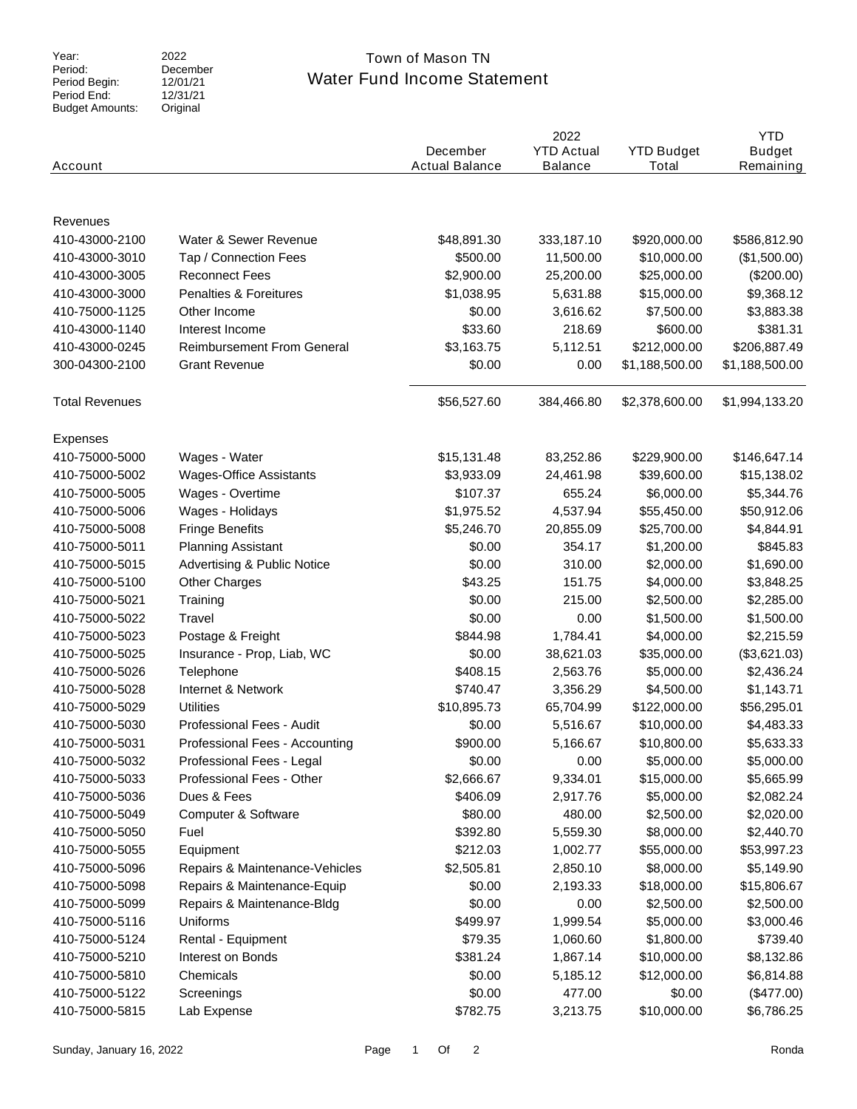Period: Period Begin: Period End: Budget Amounts:

#### 2022 December 12/01/21  $12/31/21$ Original

## Water Fund Income Statement Year: 2022 2022 Town of Mason TN

| Account               |                                        | December<br><b>Actual Balance</b> | 2022<br><b>YTD Actual</b><br><b>Balance</b> | <b>YTD Budget</b><br>Total | <b>YTD</b><br><b>Budget</b><br>Remaining |
|-----------------------|----------------------------------------|-----------------------------------|---------------------------------------------|----------------------------|------------------------------------------|
|                       |                                        |                                   |                                             |                            |                                          |
|                       |                                        |                                   |                                             |                            |                                          |
| Revenues              |                                        |                                   |                                             |                            |                                          |
| 410-43000-2100        | Water & Sewer Revenue                  | \$48,891.30                       | 333,187.10                                  | \$920,000.00               | \$586,812.90                             |
| 410-43000-3010        | Tap / Connection Fees                  | \$500.00                          | 11,500.00                                   | \$10,000.00                | (\$1,500.00)                             |
| 410-43000-3005        | <b>Reconnect Fees</b>                  | \$2,900.00                        | 25,200.00                                   | \$25,000.00                | (\$200.00)                               |
| 410-43000-3000        | Penalties & Foreitures                 | \$1,038.95                        | 5,631.88                                    | \$15,000.00                | \$9,368.12                               |
| 410-75000-1125        | Other Income                           | \$0.00                            | 3,616.62                                    | \$7,500.00                 | \$3,883.38                               |
| 410-43000-1140        | Interest Income                        | \$33.60                           | 218.69                                      | \$600.00                   | \$381.31                                 |
| 410-43000-0245        | <b>Reimbursement From General</b>      | \$3,163.75                        | 5,112.51                                    | \$212,000.00               | \$206,887.49                             |
| 300-04300-2100        | <b>Grant Revenue</b>                   | \$0.00                            | 0.00                                        | \$1,188,500.00             | \$1,188,500.00                           |
| <b>Total Revenues</b> |                                        | \$56,527.60                       | 384,466.80                                  | \$2,378,600.00             | \$1,994,133.20                           |
| <b>Expenses</b>       |                                        |                                   |                                             |                            |                                          |
| 410-75000-5000        | Wages - Water                          | \$15,131.48                       | 83,252.86                                   | \$229,900.00               | \$146,647.14                             |
| 410-75000-5002        | <b>Wages-Office Assistants</b>         | \$3,933.09                        | 24,461.98                                   | \$39,600.00                | \$15,138.02                              |
| 410-75000-5005        | Wages - Overtime                       | \$107.37                          | 655.24                                      | \$6,000.00                 | \$5,344.76                               |
| 410-75000-5006        | Wages - Holidays                       | \$1,975.52                        | 4,537.94                                    | \$55,450.00                | \$50,912.06                              |
| 410-75000-5008        | <b>Fringe Benefits</b>                 | \$5,246.70                        | 20,855.09                                   | \$25,700.00                | \$4,844.91                               |
| 410-75000-5011        | <b>Planning Assistant</b>              | \$0.00                            | 354.17                                      | \$1,200.00                 | \$845.83                                 |
| 410-75000-5015        | <b>Advertising &amp; Public Notice</b> | \$0.00                            | 310.00                                      | \$2,000.00                 | \$1,690.00                               |
| 410-75000-5100        | <b>Other Charges</b>                   | \$43.25                           | 151.75                                      | \$4,000.00                 | \$3,848.25                               |
| 410-75000-5021        | Training                               | \$0.00                            | 215.00                                      | \$2,500.00                 | \$2,285.00                               |
| 410-75000-5022        | Travel                                 | \$0.00                            | 0.00                                        | \$1,500.00                 | \$1,500.00                               |
| 410-75000-5023        | Postage & Freight                      | \$844.98                          | 1,784.41                                    | \$4,000.00                 | \$2,215.59                               |
| 410-75000-5025        | Insurance - Prop, Liab, WC             | \$0.00                            | 38,621.03                                   | \$35,000.00                | (\$3,621.03)                             |
|                       |                                        | \$408.15                          |                                             |                            |                                          |
| 410-75000-5026        | Telephone                              |                                   | 2,563.76                                    | \$5,000.00                 | \$2,436.24                               |
| 410-75000-5028        | Internet & Network                     | \$740.47                          | 3,356.29                                    | \$4,500.00                 | \$1,143.71                               |
| 410-75000-5029        | <b>Utilities</b>                       | \$10,895.73                       | 65,704.99                                   | \$122,000.00               | \$56,295.01                              |
| 410-75000-5030        | Professional Fees - Audit              | \$0.00                            | 5,516.67                                    | \$10,000.00                | \$4,483.33                               |
| 410-75000-5031        | Professional Fees - Accounting         | \$900.00                          | 5,166.67                                    | \$10,800.00                | \$5,633.33                               |
| 410-75000-5032        | Professional Fees - Legal              | \$0.00                            | 0.00                                        | \$5,000.00                 | \$5,000.00                               |
| 410-75000-5033        | Professional Fees - Other              | \$2,666.67                        | 9,334.01                                    | \$15,000.00                | \$5,665.99                               |
| 410-75000-5036        | Dues & Fees                            | \$406.09                          | 2,917.76                                    | \$5,000.00                 | \$2,082.24                               |
| 410-75000-5049        | Computer & Software                    | \$80.00                           | 480.00                                      | \$2,500.00                 | \$2,020.00                               |
| 410-75000-5050        | Fuel                                   | \$392.80                          | 5,559.30                                    | \$8,000.00                 | \$2,440.70                               |
| 410-75000-5055        | Equipment                              | \$212.03                          | 1,002.77                                    | \$55,000.00                | \$53,997.23                              |
| 410-75000-5096        | Repairs & Maintenance-Vehicles         | \$2,505.81                        | 2,850.10                                    | \$8,000.00                 | \$5,149.90                               |
| 410-75000-5098        | Repairs & Maintenance-Equip            | \$0.00                            | 2,193.33                                    | \$18,000.00                | \$15,806.67                              |
| 410-75000-5099        | Repairs & Maintenance-Bldg             | \$0.00                            | 0.00                                        | \$2,500.00                 | \$2,500.00                               |
| 410-75000-5116        | Uniforms                               | \$499.97                          | 1,999.54                                    | \$5,000.00                 | \$3,000.46                               |
| 410-75000-5124        | Rental - Equipment                     | \$79.35                           | 1,060.60                                    | \$1,800.00                 | \$739.40                                 |
| 410-75000-5210        | Interest on Bonds                      | \$381.24                          | 1,867.14                                    | \$10,000.00                | \$8,132.86                               |
| 410-75000-5810        | Chemicals                              | \$0.00                            | 5,185.12                                    | \$12,000.00                | \$6,814.88                               |
| 410-75000-5122        | Screenings                             | \$0.00                            | 477.00                                      | \$0.00                     | (\$477.00)                               |
| 410-75000-5815        | Lab Expense                            | \$782.75                          | 3,213.75                                    | \$10,000.00                | \$6,786.25                               |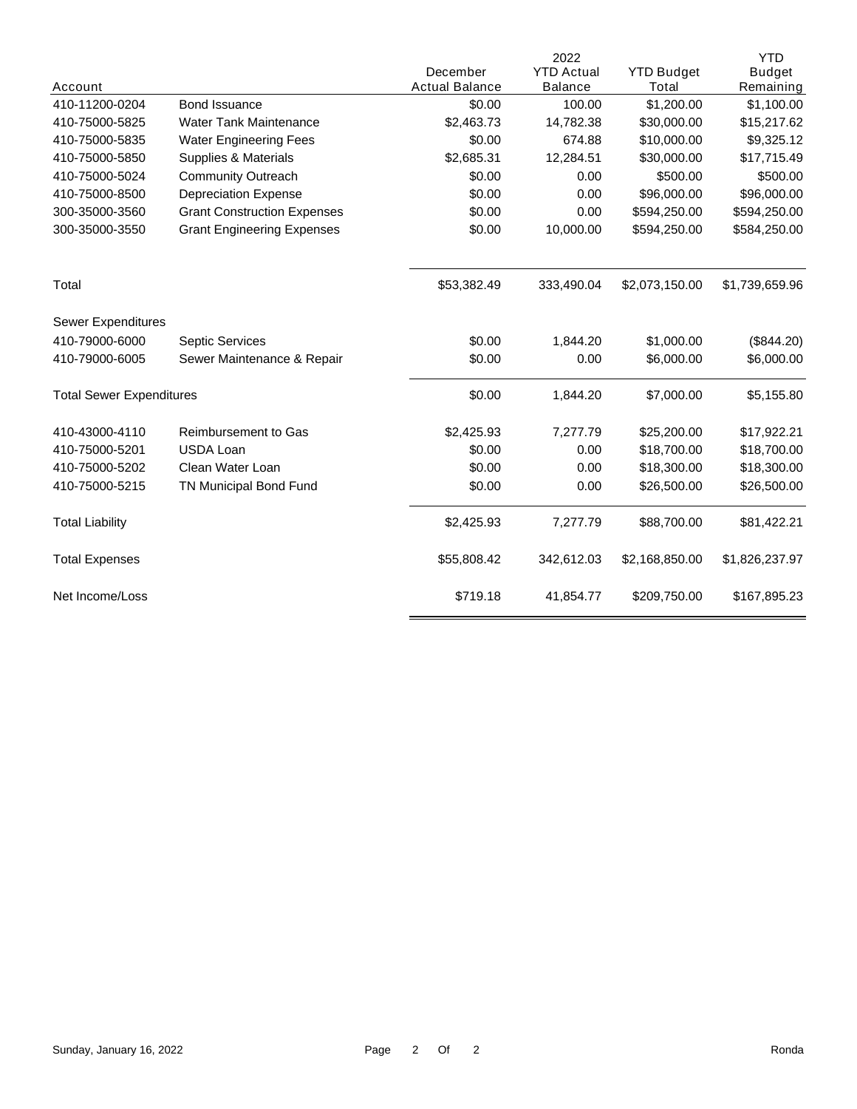|                                 |                                    |                       | 2022              |                   | <b>YTD</b>     |
|---------------------------------|------------------------------------|-----------------------|-------------------|-------------------|----------------|
|                                 |                                    | December              | <b>YTD Actual</b> | <b>YTD Budget</b> | <b>Budget</b>  |
| Account                         |                                    | <b>Actual Balance</b> | <b>Balance</b>    | Total             | Remaining      |
| 410-11200-0204                  | Bond Issuance                      | \$0.00                | 100.00            | \$1,200.00        | \$1,100.00     |
| 410-75000-5825                  | <b>Water Tank Maintenance</b>      | \$2,463.73            | 14,782.38         | \$30,000.00       | \$15,217.62    |
| 410-75000-5835                  | <b>Water Engineering Fees</b>      | \$0.00                | 674.88            | \$10,000.00       | \$9,325.12     |
| 410-75000-5850                  | Supplies & Materials               | \$2,685.31            | 12,284.51         | \$30,000.00       | \$17,715.49    |
| 410-75000-5024                  | <b>Community Outreach</b>          | \$0.00                | 0.00              | \$500.00          | \$500.00       |
| 410-75000-8500                  | <b>Depreciation Expense</b>        | \$0.00                | 0.00              | \$96,000.00       | \$96,000.00    |
| 300-35000-3560                  | <b>Grant Construction Expenses</b> | \$0.00                | 0.00              | \$594,250.00      | \$594,250.00   |
| 300-35000-3550                  | <b>Grant Engineering Expenses</b>  | \$0.00                | 10,000.00         | \$594,250.00      | \$584,250.00   |
| Total                           |                                    | \$53,382.49           | 333,490.04        | \$2,073,150.00    | \$1,739,659.96 |
| Sewer Expenditures              |                                    |                       |                   |                   |                |
| 410-79000-6000                  | Septic Services                    | \$0.00                | 1,844.20          | \$1,000.00        | (\$844.20)     |
| 410-79000-6005                  | Sewer Maintenance & Repair         | \$0.00                | 0.00              | \$6,000.00        | \$6,000.00     |
| <b>Total Sewer Expenditures</b> |                                    | \$0.00                | 1,844.20          | \$7,000.00        | \$5,155.80     |
| 410-43000-4110                  | <b>Reimbursement to Gas</b>        | \$2,425.93            | 7,277.79          | \$25,200.00       | \$17,922.21    |
| 410-75000-5201                  | <b>USDA Loan</b>                   | \$0.00                | 0.00              | \$18,700.00       | \$18,700.00    |
| 410-75000-5202                  | Clean Water Loan                   | \$0.00                | 0.00              | \$18,300.00       | \$18,300.00    |
| 410-75000-5215                  | TN Municipal Bond Fund             | \$0.00                | 0.00              | \$26,500.00       | \$26,500.00    |
| <b>Total Liability</b>          |                                    | \$2,425.93            | 7,277.79          | \$88,700.00       | \$81,422.21    |
| <b>Total Expenses</b>           |                                    | \$55,808.42           | 342,612.03        | \$2,168,850.00    | \$1,826,237.97 |
| Net Income/Loss                 |                                    | \$719.18              | 41,854.77         | \$209,750.00      | \$167,895.23   |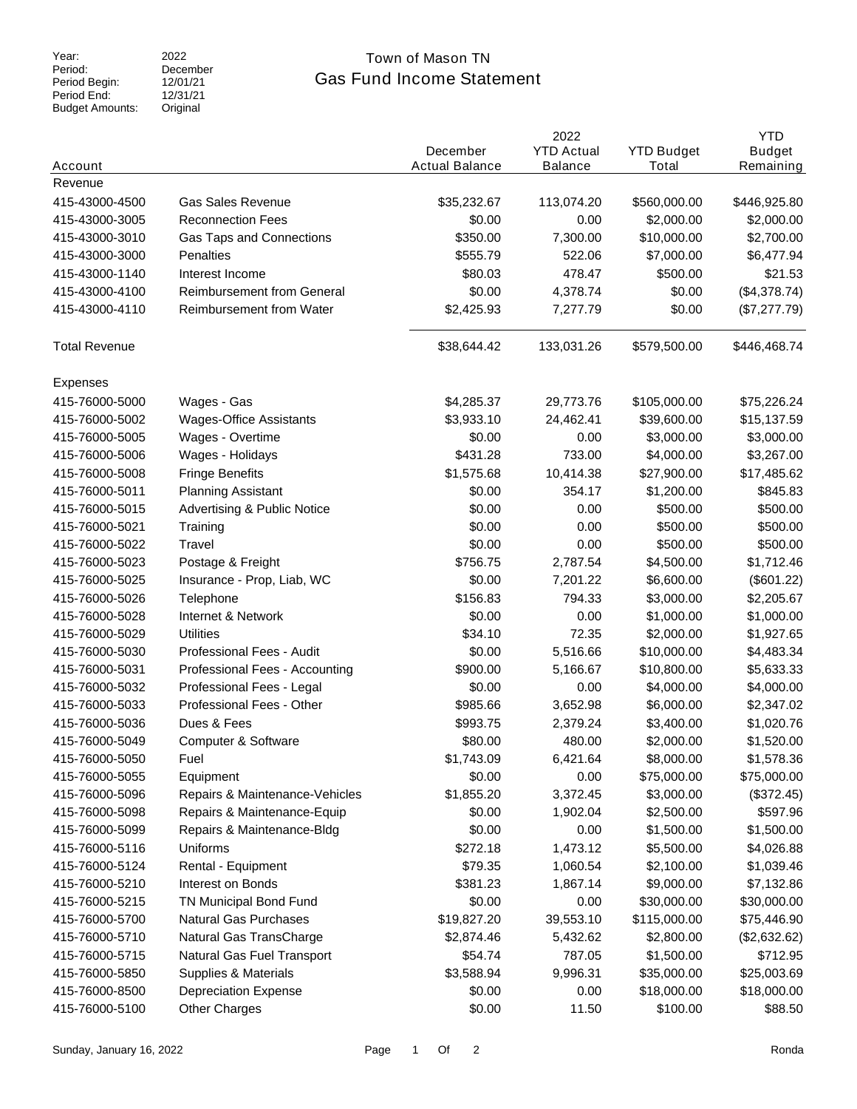Period: Period Begin: Period End: Budget Amounts:

2022 December 12/01/21  $12/31/21$ Original

### Gas Fund Income Statement Year: 2022 2022 Town of Mason TN

| Account              |                                   | December<br><b>Actual Balance</b> | 2022<br><b>YTD Actual</b><br><b>Balance</b> | <b>YTD Budget</b><br>Total | <b>YTD</b><br><b>Budget</b><br>Remaining |
|----------------------|-----------------------------------|-----------------------------------|---------------------------------------------|----------------------------|------------------------------------------|
| Revenue              |                                   |                                   |                                             |                            |                                          |
| 415-43000-4500       | Gas Sales Revenue                 | \$35,232.67                       | 113,074.20                                  | \$560,000.00               | \$446,925.80                             |
| 415-43000-3005       | <b>Reconnection Fees</b>          | \$0.00                            | 0.00                                        | \$2,000.00                 | \$2,000.00                               |
| 415-43000-3010       | Gas Taps and Connections          | \$350.00                          | 7,300.00                                    | \$10,000.00                | \$2,700.00                               |
| 415-43000-3000       | Penalties                         | \$555.79                          | 522.06                                      | \$7,000.00                 | \$6,477.94                               |
| 415-43000-1140       | Interest Income                   | \$80.03                           | 478.47                                      | \$500.00                   | \$21.53                                  |
| 415-43000-4100       | <b>Reimbursement from General</b> | \$0.00                            | 4,378.74                                    | \$0.00                     | (\$4,378.74)                             |
| 415-43000-4110       | Reimbursement from Water          | \$2,425.93                        | 7,277.79                                    | \$0.00                     | (\$7,277.79)                             |
| <b>Total Revenue</b> |                                   | \$38,644.42                       | 133,031.26                                  | \$579,500.00               | \$446,468.74                             |
| Expenses             |                                   |                                   |                                             |                            |                                          |
| 415-76000-5000       | Wages - Gas                       | \$4,285.37                        | 29,773.76                                   | \$105,000.00               | \$75,226.24                              |
| 415-76000-5002       | <b>Wages-Office Assistants</b>    | \$3,933.10                        | 24,462.41                                   | \$39,600.00                | \$15,137.59                              |
| 415-76000-5005       | Wages - Overtime                  | \$0.00                            | 0.00                                        | \$3,000.00                 | \$3,000.00                               |
| 415-76000-5006       | Wages - Holidays                  | \$431.28                          | 733.00                                      | \$4,000.00                 | \$3,267.00                               |
| 415-76000-5008       | <b>Fringe Benefits</b>            | \$1,575.68                        | 10,414.38                                   | \$27,900.00                | \$17,485.62                              |
| 415-76000-5011       | <b>Planning Assistant</b>         | \$0.00                            | 354.17                                      | \$1,200.00                 | \$845.83                                 |
| 415-76000-5015       | Advertising & Public Notice       | \$0.00                            | 0.00                                        | \$500.00                   | \$500.00                                 |
| 415-76000-5021       | Training                          | \$0.00                            | 0.00                                        | \$500.00                   | \$500.00                                 |
| 415-76000-5022       | Travel                            | \$0.00                            | 0.00                                        | \$500.00                   | \$500.00                                 |
| 415-76000-5023       | Postage & Freight                 | \$756.75                          | 2,787.54                                    | \$4,500.00                 | \$1,712.46                               |
| 415-76000-5025       | Insurance - Prop, Liab, WC        | \$0.00                            | 7,201.22                                    | \$6,600.00                 | (\$601.22)                               |
| 415-76000-5026       | Telephone                         | \$156.83                          | 794.33                                      | \$3,000.00                 | \$2,205.67                               |
| 415-76000-5028       | Internet & Network                | \$0.00                            | 0.00                                        | \$1,000.00                 | \$1,000.00                               |
| 415-76000-5029       | <b>Utilities</b>                  | \$34.10                           | 72.35                                       | \$2,000.00                 | \$1,927.65                               |
| 415-76000-5030       | Professional Fees - Audit         | \$0.00                            | 5,516.66                                    | \$10,000.00                | \$4,483.34                               |
| 415-76000-5031       | Professional Fees - Accounting    | \$900.00                          | 5,166.67                                    | \$10,800.00                | \$5,633.33                               |
| 415-76000-5032       | Professional Fees - Legal         | \$0.00                            | 0.00                                        | \$4,000.00                 | \$4,000.00                               |
| 415-76000-5033       | Professional Fees - Other         | \$985.66                          | 3,652.98                                    | \$6,000.00                 | \$2,347.02                               |
| 415-76000-5036       | Dues & Fees                       | \$993.75                          | 2,379.24                                    | \$3,400.00                 | \$1,020.76                               |
| 415-76000-5049       | Computer & Software               | \$80.00                           | 480.00                                      | \$2,000.00                 | \$1,520.00                               |
| 415-76000-5050       | Fuel                              | \$1,743.09                        | 6,421.64                                    | \$8,000.00                 | \$1,578.36                               |
| 415-76000-5055       | Equipment                         | \$0.00                            | 0.00                                        | \$75,000.00                | \$75,000.00                              |
| 415-76000-5096       | Repairs & Maintenance-Vehicles    | \$1,855.20                        | 3,372.45                                    | \$3,000.00                 | (\$372.45)                               |
| 415-76000-5098       | Repairs & Maintenance-Equip       | \$0.00                            | 1,902.04                                    | \$2,500.00                 | \$597.96                                 |
| 415-76000-5099       | Repairs & Maintenance-Bldg        | \$0.00                            | 0.00                                        | \$1,500.00                 | \$1,500.00                               |
| 415-76000-5116       | Uniforms                          | \$272.18                          | 1,473.12                                    | \$5,500.00                 | \$4,026.88                               |
| 415-76000-5124       | Rental - Equipment                | \$79.35                           | 1,060.54                                    | \$2,100.00                 | \$1,039.46                               |
| 415-76000-5210       | Interest on Bonds                 | \$381.23                          | 1,867.14                                    | \$9,000.00                 | \$7,132.86                               |
| 415-76000-5215       | TN Municipal Bond Fund            | \$0.00                            | 0.00                                        | \$30,000.00                | \$30,000.00                              |
| 415-76000-5700       | <b>Natural Gas Purchases</b>      | \$19,827.20                       | 39,553.10                                   | \$115,000.00               | \$75,446.90                              |
| 415-76000-5710       | Natural Gas TransCharge           | \$2,874.46                        | 5,432.62                                    | \$2,800.00                 | (\$2,632.62)                             |
| 415-76000-5715       | Natural Gas Fuel Transport        | \$54.74                           | 787.05                                      | \$1,500.00                 | \$712.95                                 |
| 415-76000-5850       | Supplies & Materials              | \$3,588.94                        | 9,996.31                                    | \$35,000.00                | \$25,003.69                              |
| 415-76000-8500       | <b>Depreciation Expense</b>       | \$0.00                            | 0.00                                        | \$18,000.00                | \$18,000.00                              |
| 415-76000-5100       | <b>Other Charges</b>              | \$0.00                            | 11.50                                       | \$100.00                   | \$88.50                                  |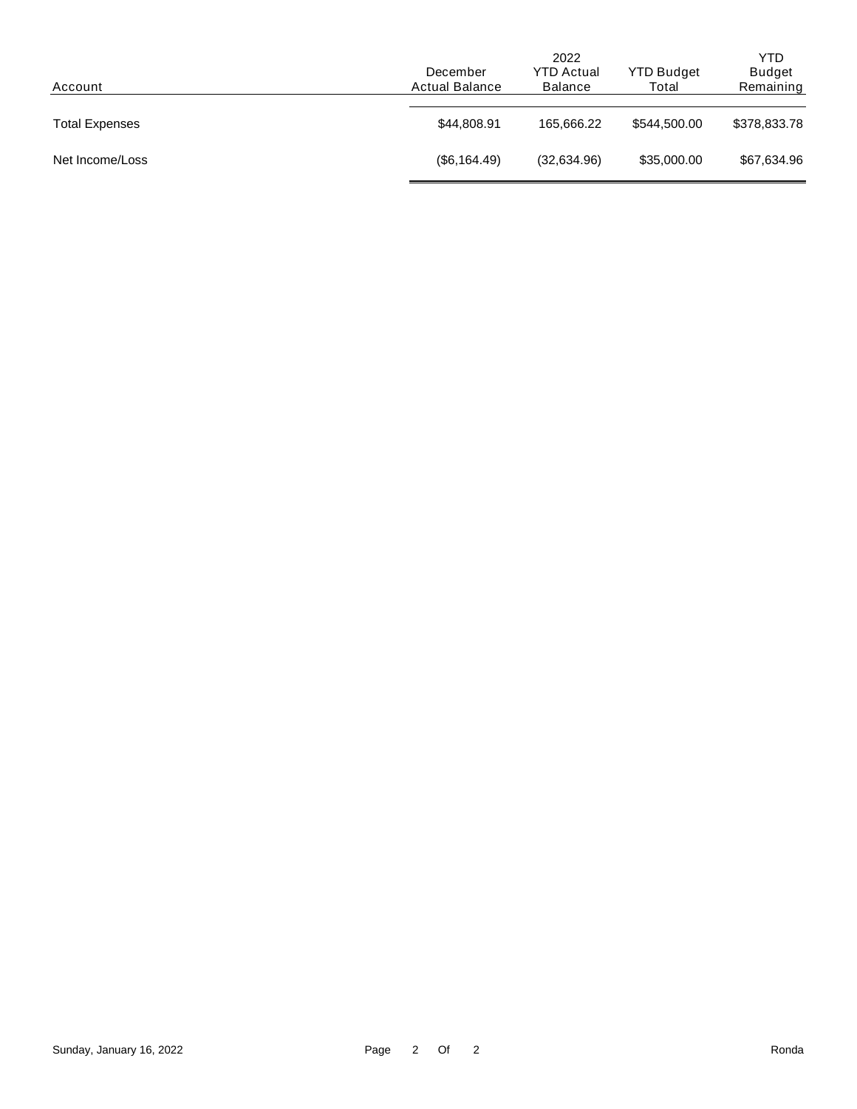|                       | 2022                  |                   |                   | <b>YTD</b>    |  |
|-----------------------|-----------------------|-------------------|-------------------|---------------|--|
|                       | December              | <b>YTD Actual</b> | <b>YTD Budget</b> | <b>Budget</b> |  |
| Account               | <b>Actual Balance</b> | <b>Balance</b>    | Total             | Remaining     |  |
|                       |                       |                   |                   |               |  |
| <b>Total Expenses</b> | \$44,808.91           | 165.666.22        | \$544,500.00      | \$378,833.78  |  |
|                       |                       |                   |                   |               |  |
| Net Income/Loss       | (\$6,164.49)          | (32,634.96)       | \$35,000.00       | \$67,634.96   |  |
|                       |                       |                   |                   |               |  |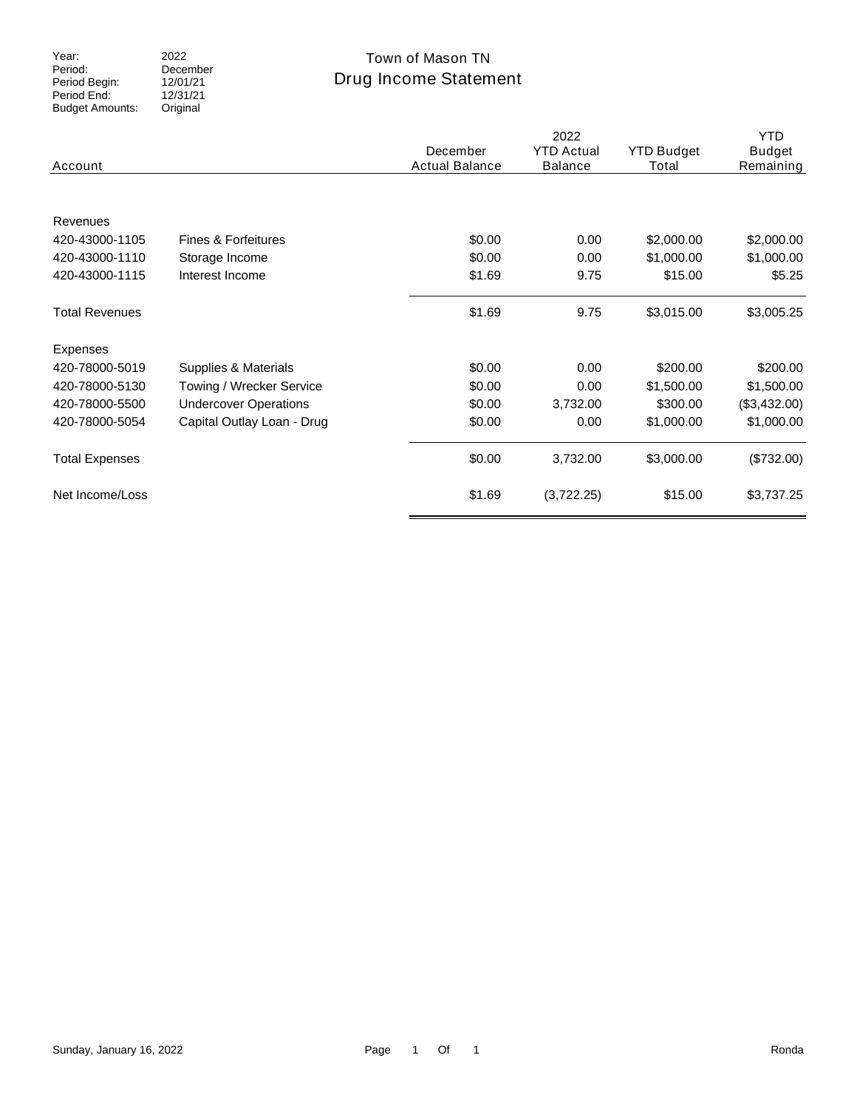Period: Period Begin: Period End: Budget Amounts: 2022 December 12/01/21  $12/31/21$ Original

## Drug Income Statement Year: 2022 2022 Town of Mason TN

| Account               |                              | December<br><b>Actual Balance</b> | 2022<br><b>YTD Actual</b><br><b>Balance</b> | <b>YTD Budget</b><br>Total | <b>YTD</b><br><b>Budget</b><br>Remaining |
|-----------------------|------------------------------|-----------------------------------|---------------------------------------------|----------------------------|------------------------------------------|
| Revenues              |                              |                                   |                                             |                            |                                          |
| 420-43000-1105        | Fines & Forfeitures          | \$0.00                            | 0.00                                        | \$2,000.00                 | \$2,000.00                               |
| 420-43000-1110        | Storage Income               | \$0.00                            | 0.00                                        | \$1,000.00                 | \$1,000.00                               |
| 420-43000-1115        | Interest Income              | \$1.69                            | 9.75                                        | \$15.00                    | \$5.25                                   |
| <b>Total Revenues</b> |                              | \$1.69                            | 9.75                                        | \$3,015.00                 | \$3,005.25                               |
| Expenses              |                              |                                   |                                             |                            |                                          |
| 420-78000-5019        | Supplies & Materials         | \$0.00                            | 0.00                                        | \$200.00                   | \$200.00                                 |
| 420-78000-5130        | Towing / Wrecker Service     | \$0.00                            | 0.00                                        | \$1,500.00                 | \$1,500.00                               |
| 420-78000-5500        | <b>Undercover Operations</b> | \$0.00                            | 3,732.00                                    | \$300.00                   | (\$3,432.00)                             |
| 420-78000-5054        | Capital Outlay Loan - Drug   | \$0.00                            | 0.00                                        | \$1,000.00                 | \$1,000.00                               |
| <b>Total Expenses</b> |                              | \$0.00                            | 3,732.00                                    | \$3,000.00                 | (\$732.00)                               |
| Net Income/Loss       |                              | \$1.69                            | (3,722.25)                                  | \$15.00                    | \$3,737.25                               |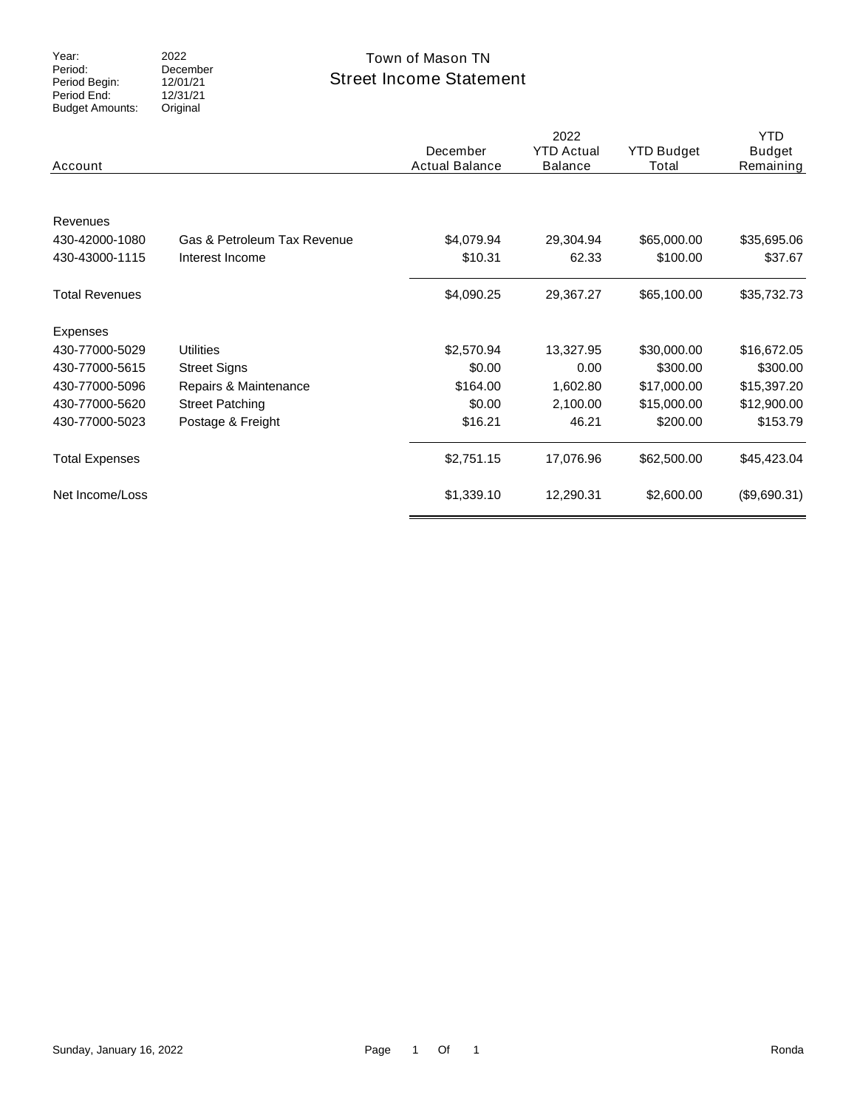Period: Period Begin: Period End: Budget Amounts: 2022 Original

### December 12/01/21  $12/31/21$

## Street Income Statement Year: 2022 2022 Town of Mason TN

| Account               |                             | December<br><b>Actual Balance</b> | 2022<br><b>YTD Actual</b><br><b>Balance</b> | <b>YTD Budget</b><br>Total | <b>YTD</b><br><b>Budget</b><br>Remaining |
|-----------------------|-----------------------------|-----------------------------------|---------------------------------------------|----------------------------|------------------------------------------|
|                       |                             |                                   |                                             |                            |                                          |
| Revenues              |                             |                                   |                                             |                            |                                          |
| 430-42000-1080        | Gas & Petroleum Tax Revenue | \$4,079.94                        | 29,304.94                                   | \$65,000.00                | \$35,695.06                              |
| 430-43000-1115        | Interest Income             | \$10.31                           | 62.33                                       | \$100.00                   | \$37.67                                  |
| <b>Total Revenues</b> |                             | \$4,090.25                        | 29,367.27                                   | \$65,100.00                | \$35,732.73                              |
| Expenses              |                             |                                   |                                             |                            |                                          |
| 430-77000-5029        | <b>Utilities</b>            | \$2,570.94                        | 13,327.95                                   | \$30,000.00                | \$16,672.05                              |
| 430-77000-5615        | <b>Street Signs</b>         | \$0.00                            | 0.00                                        | \$300.00                   | \$300.00                                 |
| 430-77000-5096        | Repairs & Maintenance       | \$164.00                          | 1,602.80                                    | \$17,000.00                | \$15,397.20                              |
| 430-77000-5620        | <b>Street Patching</b>      | \$0.00                            | 2,100.00                                    | \$15,000.00                | \$12,900.00                              |
| 430-77000-5023        | Postage & Freight           | \$16.21                           | 46.21                                       | \$200.00                   | \$153.79                                 |
| <b>Total Expenses</b> |                             | \$2,751.15                        | 17,076.96                                   | \$62,500.00                | \$45,423.04                              |
| Net Income/Loss       |                             | \$1,339.10                        | 12,290.31                                   | \$2,600.00                 | (\$9,690.31)                             |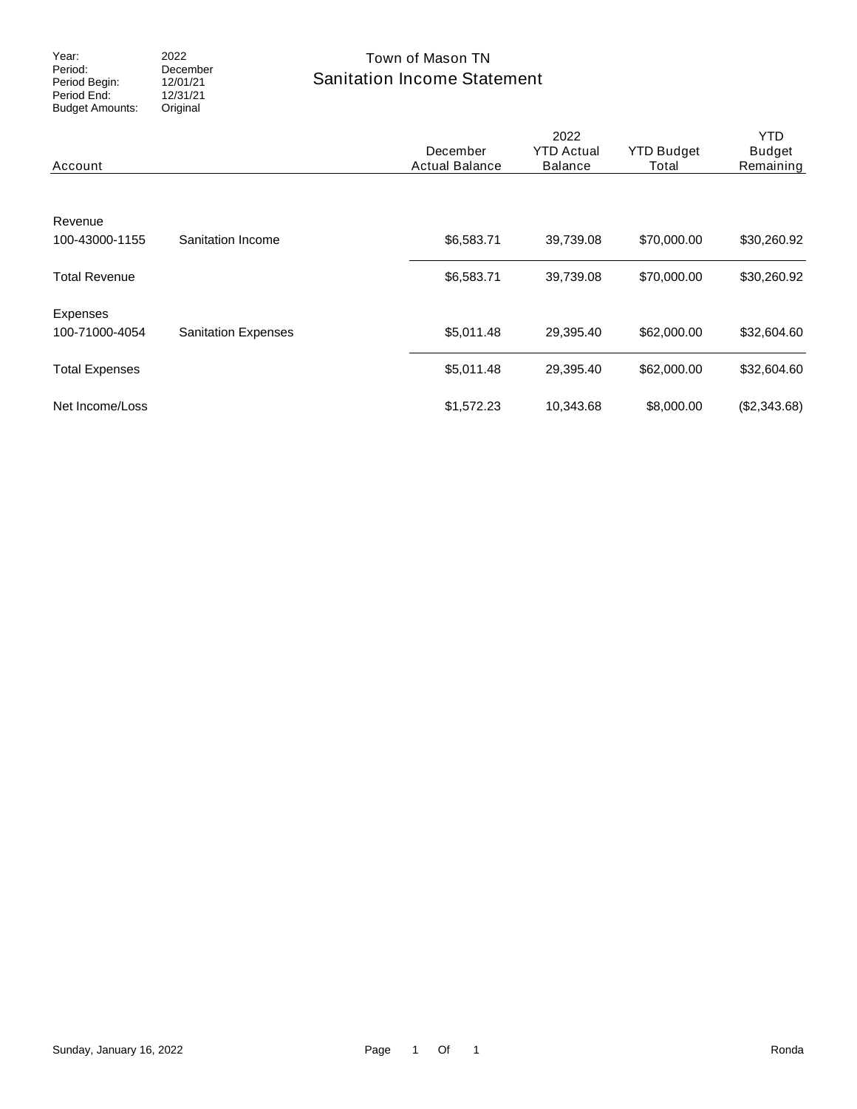Period: Period Begin: Period End: Budget Amounts: 2022 December 12/01/21  $12/31/21$ Original

### Sanitation Income Statement Year: 2022 2022 Town of Mason TN

| Account                    |                            | December<br><b>Actual Balance</b> | 2022<br><b>YTD Actual</b><br><b>Balance</b> | <b>YTD Budget</b><br>Total | YTD.<br><b>Budget</b><br>Remaining |
|----------------------------|----------------------------|-----------------------------------|---------------------------------------------|----------------------------|------------------------------------|
| Revenue<br>100-43000-1155  | Sanitation Income          | \$6,583.71                        | 39,739.08                                   | \$70,000.00                | \$30,260.92                        |
| <b>Total Revenue</b>       |                            | \$6,583.71                        | 39,739.08                                   | \$70,000.00                | \$30,260.92                        |
| Expenses<br>100-71000-4054 | <b>Sanitation Expenses</b> | \$5,011.48                        | 29,395.40                                   | \$62,000.00                | \$32,604.60                        |
| <b>Total Expenses</b>      |                            | \$5,011.48                        | 29,395.40                                   | \$62,000.00                | \$32,604.60                        |
| Net Income/Loss            |                            | \$1,572.23                        | 10,343.68                                   | \$8,000.00                 | (\$2,343.68)                       |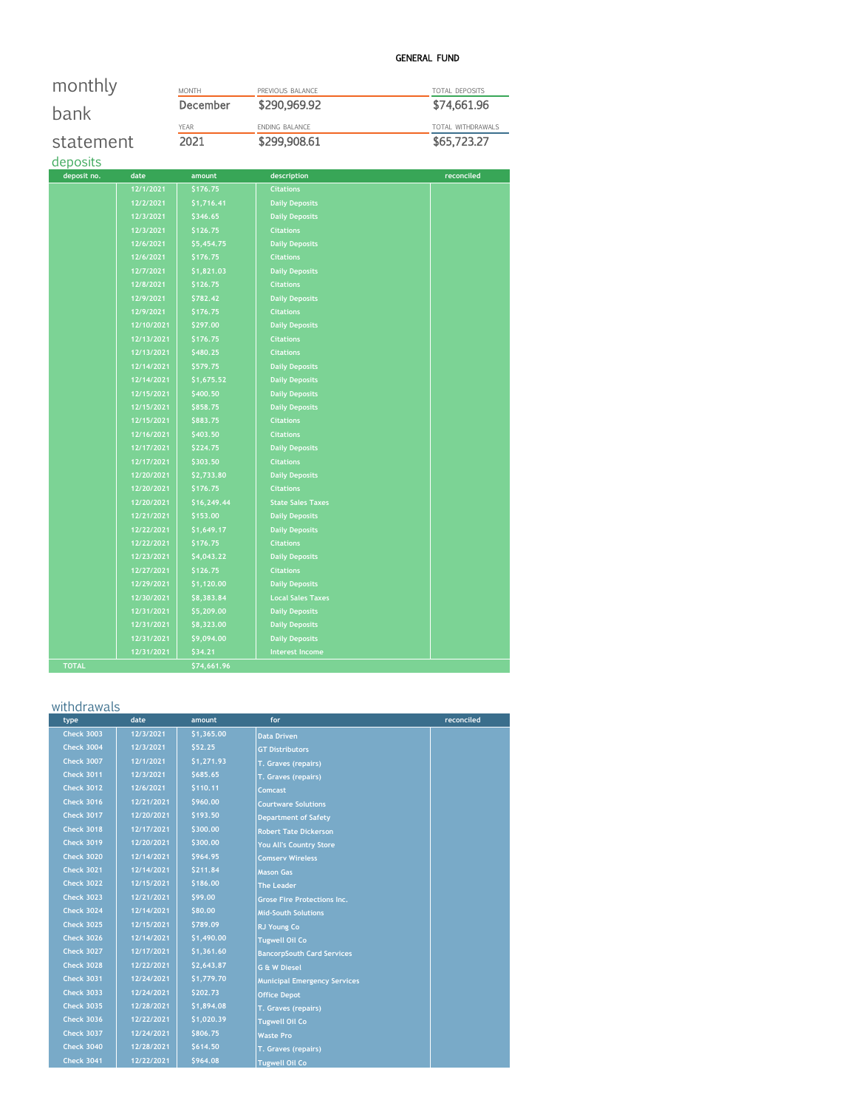### GENERAL FUND

| monthly      |            | <b>MONTH</b> | PREVIOUS BALANCE         | TOTAL DEPOSITS    |
|--------------|------------|--------------|--------------------------|-------------------|
| bank         |            | December     | \$290,969.92             | \$74,661.96       |
|              |            | YEAR         | ENDING BALANCE           | TOTAL WITHDRAWALS |
| statement    |            | 2021         | \$299,908.61             | \$65,723.27       |
| deposits     |            |              |                          |                   |
| deposit no.  | date       | amount       | description              | reconciled        |
|              | 12/1/2021  | \$176.75     | <b>Citations</b>         |                   |
|              | 12/2/2021  | \$1,716.41   | <b>Daily Deposits</b>    |                   |
|              | 12/3/2021  | \$346.65     | <b>Daily Deposits</b>    |                   |
|              | 12/3/2021  | \$126.75     | <b>Citations</b>         |                   |
|              | 12/6/2021  | \$5,454.75   | <b>Daily Deposits</b>    |                   |
|              | 12/6/2021  | \$176.75     | <b>Citations</b>         |                   |
|              | 12/7/2021  | \$1,821.03   | <b>Daily Deposits</b>    |                   |
|              | 12/8/2021  | \$126.75     | <b>Citations</b>         |                   |
|              | 12/9/2021  | \$782.42     | <b>Daily Deposits</b>    |                   |
|              | 12/9/2021  | \$176.75     | <b>Citations</b>         |                   |
|              | 12/10/2021 | \$297.00     | <b>Daily Deposits</b>    |                   |
|              | 12/13/2021 | \$176.75     | <b>Citations</b>         |                   |
|              | 12/13/2021 | \$480.25     | <b>Citations</b>         |                   |
|              | 12/14/2021 | \$579.75     | <b>Daily Deposits</b>    |                   |
|              | 12/14/2021 | \$1,675.52   | <b>Daily Deposits</b>    |                   |
|              | 12/15/2021 | \$400.50     | <b>Daily Deposits</b>    |                   |
|              | 12/15/2021 | \$858.75     | <b>Daily Deposits</b>    |                   |
|              | 12/15/2021 | \$883.75     | <b>Citations</b>         |                   |
|              | 12/16/2021 | \$403.50     | <b>Citations</b>         |                   |
|              | 12/17/2021 | \$224.75     | <b>Daily Deposits</b>    |                   |
|              | 12/17/2021 | \$303.50     | <b>Citations</b>         |                   |
|              | 12/20/2021 | \$2,733.80   | <b>Daily Deposits</b>    |                   |
|              | 12/20/2021 | \$176.75     | <b>Citations</b>         |                   |
|              | 12/20/2021 | \$16,249.44  | <b>State Sales Taxes</b> |                   |
|              | 12/21/2021 | \$153.00     | <b>Daily Deposits</b>    |                   |
|              | 12/22/2021 | \$1,649.17   | <b>Daily Deposits</b>    |                   |
|              | 12/22/2021 | \$176.75     | <b>Citations</b>         |                   |
|              | 12/23/2021 | \$4,043.22   | <b>Daily Deposits</b>    |                   |
|              | 12/27/2021 | \$126.75     | <b>Citations</b>         |                   |
|              | 12/29/2021 | \$1,120.00   | <b>Daily Deposits</b>    |                   |
|              | 12/30/2021 | \$8,383.84   | <b>Local Sales Taxes</b> |                   |
|              | 12/31/2021 | \$5,209.00   | <b>Daily Deposits</b>    |                   |
|              | 12/31/2021 | \$8,323.00   | <b>Daily Deposits</b>    |                   |
|              | 12/31/2021 | \$9,094.00   | <b>Daily Deposits</b>    |                   |
|              | 12/31/2021 | \$34.21      | <b>Interest Income</b>   |                   |
| <b>TOTAL</b> |            | \$74,661.96  |                          |                   |

### withdrawals

| type              | date       | amount     | for                                 | reconciled |
|-------------------|------------|------------|-------------------------------------|------------|
| <b>Check 3003</b> | 12/3/2021  | \$1,365.00 | <b>Data Driven</b>                  |            |
| <b>Check 3004</b> | 12/3/2021  | \$52.25    | <b>GT Distributors</b>              |            |
| <b>Check 3007</b> | 12/1/2021  | \$1,271.93 | T. Graves (repairs)                 |            |
| <b>Check 3011</b> | 12/3/2021  | \$685.65   | T. Graves (repairs)                 |            |
| <b>Check 3012</b> | 12/6/2021  | \$110.11   | Comcast                             |            |
| <b>Check 3016</b> | 12/21/2021 | \$960.00   | <b>Courtware Solutions</b>          |            |
| <b>Check 3017</b> | 12/20/2021 | \$193.50   | <b>Department of Safety</b>         |            |
| <b>Check 3018</b> | 12/17/2021 | \$300.00   | <b>Robert Tate Dickerson</b>        |            |
| <b>Check 3019</b> | 12/20/2021 | \$300.00   | You All's Country Store             |            |
| <b>Check 3020</b> | 12/14/2021 | \$964.95   | <b>Comserv Wireless</b>             |            |
| <b>Check 3021</b> | 12/14/2021 | \$211.84   | <b>Mason Gas</b>                    |            |
| <b>Check 3022</b> | 12/15/2021 | \$186.00   | <b>The Leader</b>                   |            |
| <b>Check 3023</b> | 12/21/2021 | \$99.00    | <b>Grose Fire Protections Inc.</b>  |            |
| <b>Check 3024</b> | 12/14/2021 | \$80.00    | <b>Mid-South Solutions</b>          |            |
| <b>Check 3025</b> | 12/15/2021 | \$789.09   | <b>RJ Young Co</b>                  |            |
| <b>Check 3026</b> | 12/14/2021 | \$1,490.00 | <b>Tugwell Oil Co</b>               |            |
| <b>Check 3027</b> | 12/17/2021 | \$1,361.60 | <b>BancorpSouth Card Services</b>   |            |
| <b>Check 3028</b> | 12/22/2021 | \$2,643.87 | <b>G &amp; W Diesel</b>             |            |
| <b>Check 3031</b> | 12/24/2021 | \$1,779.70 | <b>Municipal Emergency Services</b> |            |
| <b>Check 3033</b> | 12/24/2021 | \$202.73   | <b>Office Depot</b>                 |            |
| <b>Check 3035</b> | 12/28/2021 | \$1,894.08 | T. Graves (repairs)                 |            |
| <b>Check 3036</b> | 12/22/2021 | \$1,020.39 | <b>Tugwell Oil Co</b>               |            |
| <b>Check 3037</b> | 12/24/2021 | \$806.75   | <b>Waste Pro</b>                    |            |
| <b>Check 3040</b> | 12/28/2021 | \$614.50   | T. Graves (repairs)                 |            |
| <b>Check 3041</b> | 12/22/2021 | \$964.08   | <b>Tugwell Oil Co</b>               |            |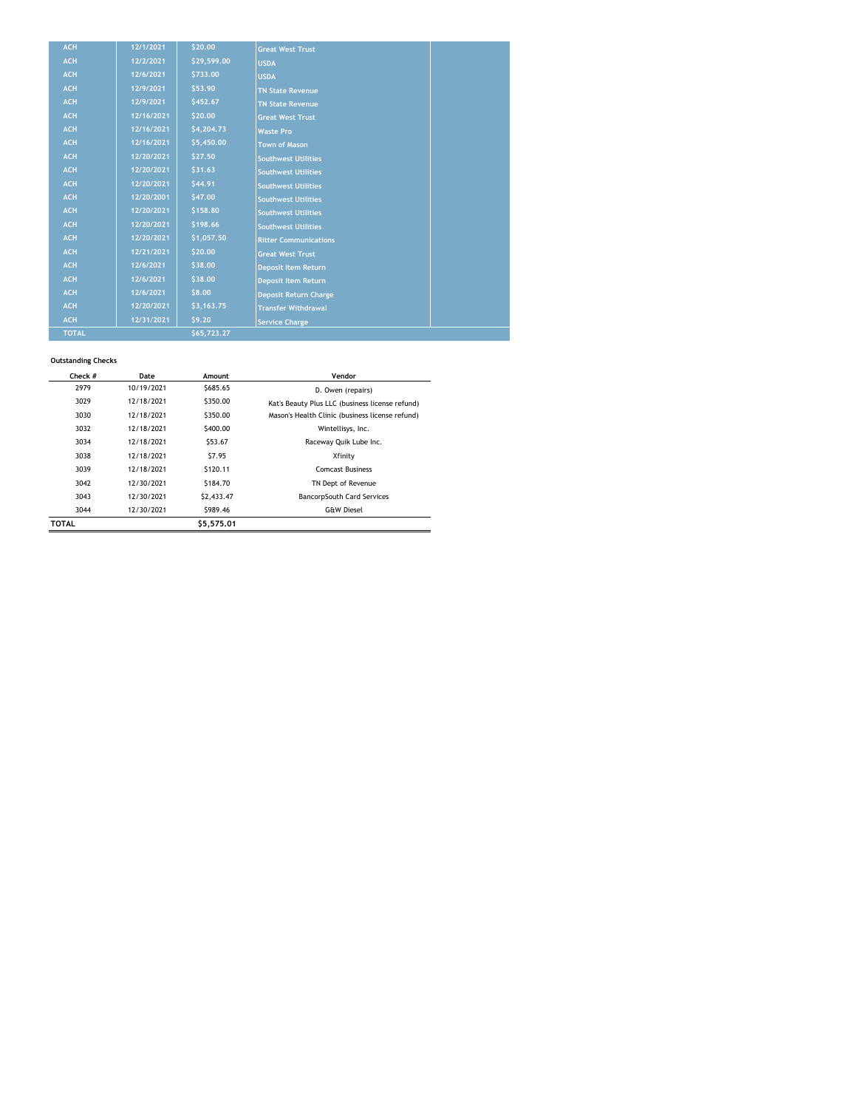| <b>ACH</b>   | 12/1/2021  | \$20.00     | <b>Great West Trust</b>      |
|--------------|------------|-------------|------------------------------|
| <b>ACH</b>   | 12/2/2021  | \$29,599.00 | <b>USDA</b>                  |
| <b>ACH</b>   | 12/6/2021  | \$733.00    | <b>USDA</b>                  |
| <b>ACH</b>   | 12/9/2021  | \$53.90     | <b>TN State Revenue</b>      |
| <b>ACH</b>   | 12/9/2021  | \$452.67    | <b>TN State Revenue</b>      |
| <b>ACH</b>   | 12/16/2021 | \$20.00     | <b>Great West Trust</b>      |
| <b>ACH</b>   | 12/16/2021 | \$4,204.73  | <b>Waste Pro</b>             |
| <b>ACH</b>   | 12/16/2021 | \$5,450.00  | <b>Town of Mason</b>         |
| <b>ACH</b>   | 12/20/2021 | \$27.50     | <b>Southwest Utilities</b>   |
| <b>ACH</b>   | 12/20/2021 | \$31.63     | <b>Southwest Utilities</b>   |
| <b>ACH</b>   | 12/20/2021 | \$44.91     | <b>Southwest Utilities</b>   |
| <b>ACH</b>   | 12/20/2001 | \$47.00     | <b>Southwest Utilities</b>   |
| <b>ACH</b>   | 12/20/2021 | \$158.80    | <b>Southwest Utilities</b>   |
| <b>ACH</b>   | 12/20/2021 | \$198.66    | <b>Southwest Utilities</b>   |
| <b>ACH</b>   | 12/20/2021 | \$1,057.50  | <b>Ritter Communications</b> |
| <b>ACH</b>   | 12/21/2021 | \$20.00     | <b>Great West Trust</b>      |
| <b>ACH</b>   | 12/6/2021  | \$38.00     | <b>Deposit Item Return</b>   |
| <b>ACH</b>   | 12/6/2021  | \$38.00     | <b>Deposit Item Return</b>   |
| <b>ACH</b>   | 12/6/2021  | \$8.00      | <b>Deposit Return Charge</b> |
| <b>ACH</b>   | 12/20/2021 | \$3,163.75  | <b>Transfer Withdrawal</b>   |
| <b>ACH</b>   | 12/31/2021 | \$9.20      | <b>Service Charge</b>        |
| <b>TOTAL</b> |            | \$65,723.27 |                              |

#### **Outstanding Checks**

| Check #      | Date       | Amount     | Vendor                                          |
|--------------|------------|------------|-------------------------------------------------|
| 2979         | 10/19/2021 | \$685.65   | D. Owen (repairs)                               |
| 3029         | 12/18/2021 | \$350.00   | Kat's Beauty Plus LLC (business license refund) |
| 3030         | 12/18/2021 | \$350.00   | Mason's Health Clinic (business license refund) |
| 3032         | 12/18/2021 | \$400.00   | Wintellisys, Inc.                               |
| 3034         | 12/18/2021 | \$53.67    | Raceway Quik Lube Inc.                          |
| 3038         | 12/18/2021 | \$7.95     | Xfinity                                         |
| 3039         | 12/18/2021 | \$120.11   | <b>Comcast Business</b>                         |
| 3042         | 12/30/2021 | \$184.70   | TN Dept of Revenue                              |
| 3043         | 12/30/2021 | \$2,433.47 | <b>BancorpSouth Card Services</b>               |
| 3044         | 12/30/2021 | \$989.46   | <b>G&amp;W Diesel</b>                           |
| <b>TOTAL</b> |            | \$5.575.01 |                                                 |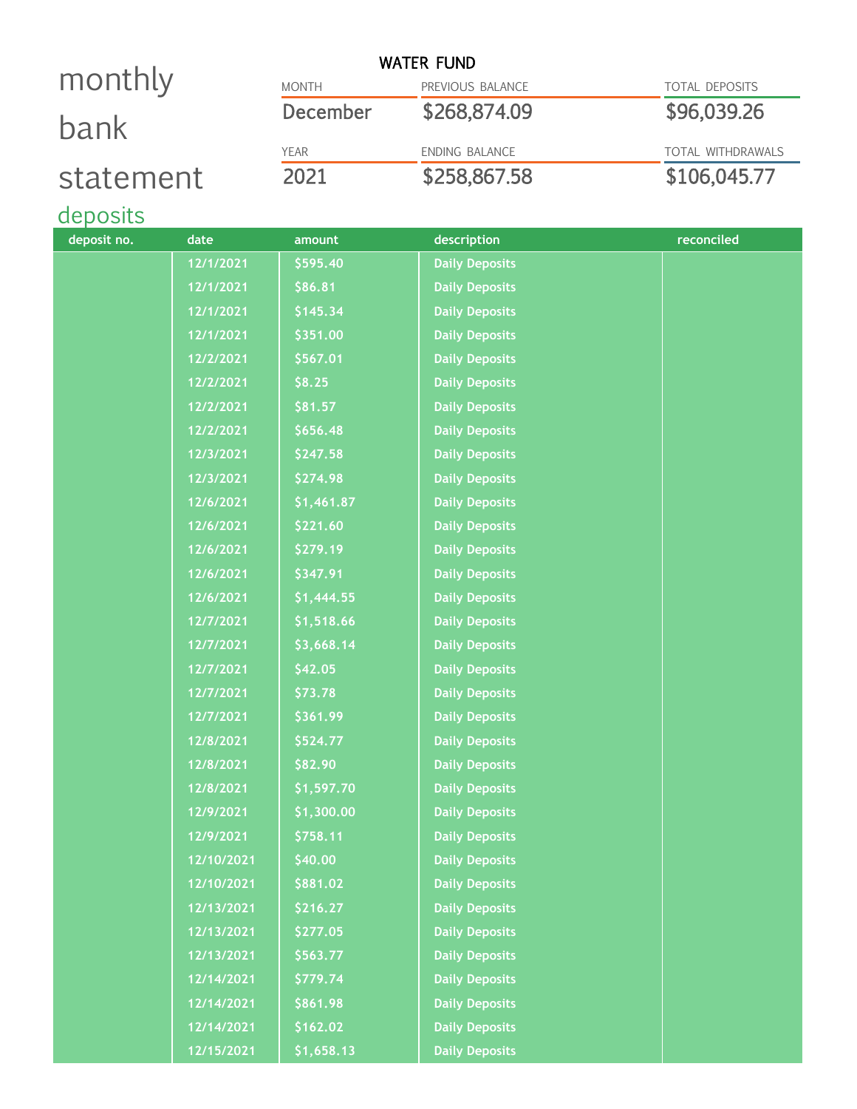|           |              | <b>WATER FUND</b>     |                          |
|-----------|--------------|-----------------------|--------------------------|
| monthly   | <b>MONTH</b> | PREVIOUS BALANCE      | <b>TOTAL DEPOSITS</b>    |
| bank      | December     | \$268,874.09          | \$96,039.26              |
|           | <b>YEAR</b>  | <b>ENDING BALANCE</b> | <b>TOTAL WITHDRAWALS</b> |
| statement | 2021         | \$258,867.58          | \$106,045.77             |

# deposits

| deposit no. | date       | amount     | description           | reconciled |
|-------------|------------|------------|-----------------------|------------|
|             | 12/1/2021  | \$595.40   | <b>Daily Deposits</b> |            |
|             | 12/1/2021  | \$86.81    | <b>Daily Deposits</b> |            |
|             | 12/1/2021  | \$145.34   | <b>Daily Deposits</b> |            |
|             | 12/1/2021  | \$351.00   | <b>Daily Deposits</b> |            |
|             | 12/2/2021  | \$567.01   | <b>Daily Deposits</b> |            |
|             | 12/2/2021  | \$8.25     | <b>Daily Deposits</b> |            |
|             | 12/2/2021  | \$81.57    | <b>Daily Deposits</b> |            |
|             | 12/2/2021  | \$656.48   | <b>Daily Deposits</b> |            |
|             | 12/3/2021  | \$247.58   | <b>Daily Deposits</b> |            |
|             | 12/3/2021  | \$274.98   | <b>Daily Deposits</b> |            |
|             | 12/6/2021  | \$1,461.87 | <b>Daily Deposits</b> |            |
|             | 12/6/2021  | \$221.60   | <b>Daily Deposits</b> |            |
|             | 12/6/2021  | \$279.19   | <b>Daily Deposits</b> |            |
|             | 12/6/2021  | \$347.91   | <b>Daily Deposits</b> |            |
|             | 12/6/2021  | \$1,444.55 | <b>Daily Deposits</b> |            |
|             | 12/7/2021  | \$1,518.66 | <b>Daily Deposits</b> |            |
|             | 12/7/2021  | \$3,668.14 | <b>Daily Deposits</b> |            |
|             | 12/7/2021  | \$42.05    | <b>Daily Deposits</b> |            |
|             | 12/7/2021  | \$73.78    | <b>Daily Deposits</b> |            |
|             | 12/7/2021  | \$361.99   | <b>Daily Deposits</b> |            |
|             | 12/8/2021  | \$524.77   | <b>Daily Deposits</b> |            |
|             | 12/8/2021  | \$82.90    | <b>Daily Deposits</b> |            |
|             | 12/8/2021  | \$1,597.70 | <b>Daily Deposits</b> |            |
|             | 12/9/2021  | \$1,300.00 | <b>Daily Deposits</b> |            |
|             | 12/9/2021  | \$758.11   | <b>Daily Deposits</b> |            |
|             | 12/10/2021 | \$40.00    | <b>Daily Deposits</b> |            |
|             | 12/10/2021 | \$881.02   | <b>Daily Deposits</b> |            |
|             | 12/13/2021 | \$216.27   | <b>Daily Deposits</b> |            |
|             | 12/13/2021 | \$277.05   | <b>Daily Deposits</b> |            |
|             | 12/13/2021 | \$563.77   | <b>Daily Deposits</b> |            |
|             | 12/14/2021 | \$779.74   | <b>Daily Deposits</b> |            |
|             | 12/14/2021 | \$861.98   | <b>Daily Deposits</b> |            |
|             | 12/14/2021 | \$162.02   | <b>Daily Deposits</b> |            |
|             | 12/15/2021 | \$1,658.13 | <b>Daily Deposits</b> |            |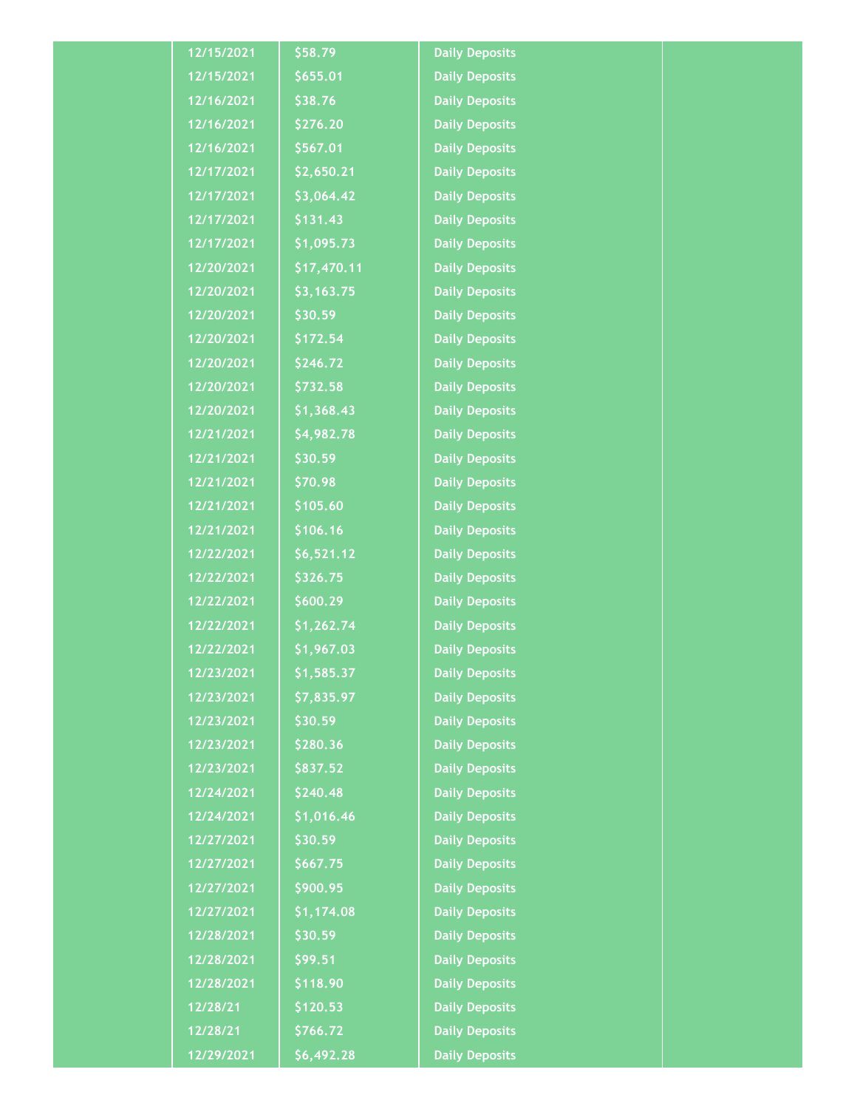| 12/15/2021 | \$58.79     | <b>Daily Deposits</b> |  |
|------------|-------------|-----------------------|--|
| 12/15/2021 | \$655.01    | <b>Daily Deposits</b> |  |
| 12/16/2021 | \$38.76     | <b>Daily Deposits</b> |  |
| 12/16/2021 | \$276.20    | <b>Daily Deposits</b> |  |
| 12/16/2021 | \$567.01    | <b>Daily Deposits</b> |  |
| 12/17/2021 | \$2,650.21  | <b>Daily Deposits</b> |  |
| 12/17/2021 | \$3,064.42  | <b>Daily Deposits</b> |  |
| 12/17/2021 | \$131.43    | <b>Daily Deposits</b> |  |
| 12/17/2021 | \$1,095.73  | <b>Daily Deposits</b> |  |
| 12/20/2021 | \$17,470.11 | <b>Daily Deposits</b> |  |
| 12/20/2021 | \$3,163.75  | <b>Daily Deposits</b> |  |
| 12/20/2021 | \$30.59     | <b>Daily Deposits</b> |  |
| 12/20/2021 | \$172.54    | <b>Daily Deposits</b> |  |
| 12/20/2021 | \$246.72    | <b>Daily Deposits</b> |  |
| 12/20/2021 | \$732.58    | <b>Daily Deposits</b> |  |
| 12/20/2021 | \$1,368.43  | <b>Daily Deposits</b> |  |
| 12/21/2021 | \$4,982.78  | <b>Daily Deposits</b> |  |
| 12/21/2021 | \$30.59     | <b>Daily Deposits</b> |  |
| 12/21/2021 | \$70.98     | <b>Daily Deposits</b> |  |
| 12/21/2021 | \$105.60    | <b>Daily Deposits</b> |  |
| 12/21/2021 | \$106.16    | <b>Daily Deposits</b> |  |
| 12/22/2021 | \$6,521.12  | <b>Daily Deposits</b> |  |
| 12/22/2021 | \$326.75    | <b>Daily Deposits</b> |  |
| 12/22/2021 | \$600.29    | <b>Daily Deposits</b> |  |
| 12/22/2021 | \$1,262.74  | <b>Daily Deposits</b> |  |
| 12/22/2021 | \$1,967.03  | <b>Daily Deposits</b> |  |
| 12/23/2021 | \$1,585.37  | <b>Daily Deposits</b> |  |
| 12/23/2021 | \$7,835.97  | <b>Daily Deposits</b> |  |
| 12/23/2021 | \$30.59     | <b>Daily Deposits</b> |  |
| 12/23/2021 | \$280.36    | <b>Daily Deposits</b> |  |
| 12/23/2021 | \$837.52    | <b>Daily Deposits</b> |  |
| 12/24/2021 | \$240.48    | <b>Daily Deposits</b> |  |
| 12/24/2021 | \$1,016.46  | <b>Daily Deposits</b> |  |
| 12/27/2021 | \$30.59     | <b>Daily Deposits</b> |  |
| 12/27/2021 | \$667.75    | <b>Daily Deposits</b> |  |
| 12/27/2021 | \$900.95    | <b>Daily Deposits</b> |  |
| 12/27/2021 | \$1,174.08  | <b>Daily Deposits</b> |  |
| 12/28/2021 | \$30.59     | <b>Daily Deposits</b> |  |
| 12/28/2021 | \$99.51     | <b>Daily Deposits</b> |  |
| 12/28/2021 | \$118.90    | <b>Daily Deposits</b> |  |
| 12/28/21   | \$120.53    | <b>Daily Deposits</b> |  |
| 12/28/21   | \$766.72    | <b>Daily Deposits</b> |  |
| 12/29/2021 | \$6,492.28  | <b>Daily Deposits</b> |  |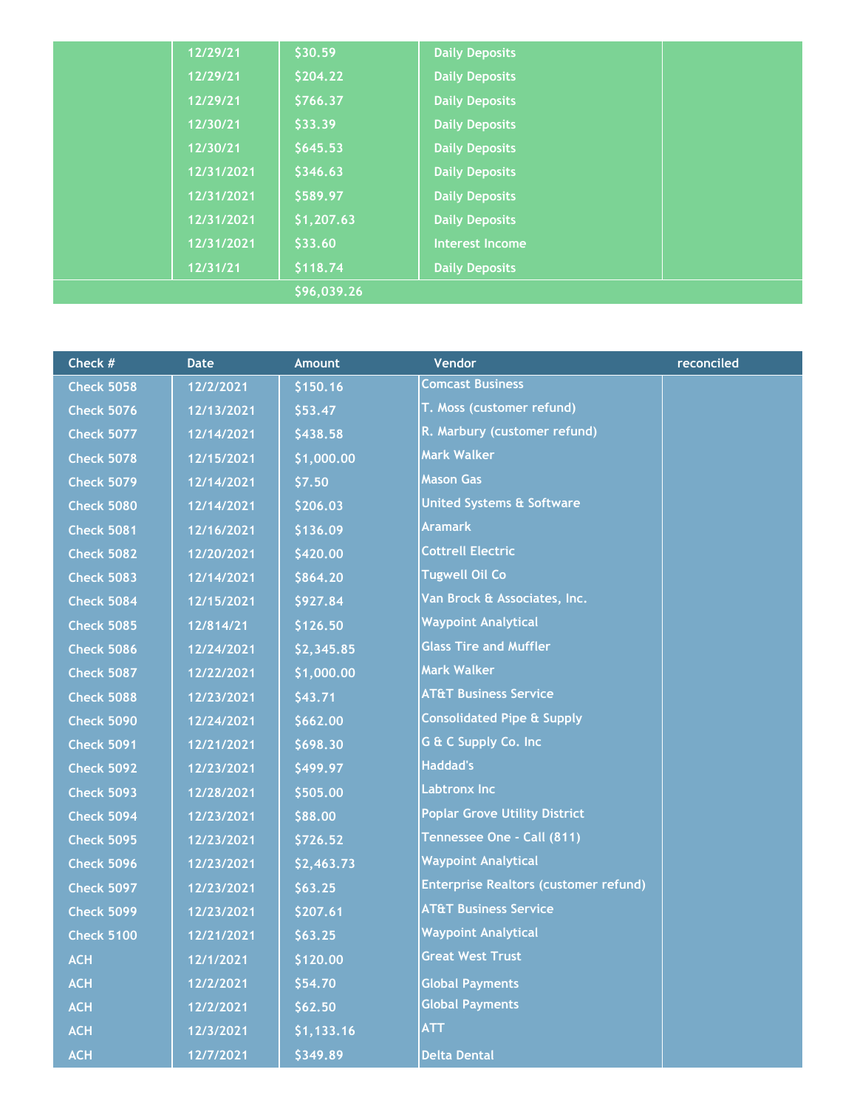|             | 12/29/21   | \$30.59    | <b>Daily Deposits</b>  |  |
|-------------|------------|------------|------------------------|--|
|             | 12/29/21   | \$204.22   | <b>Daily Deposits</b>  |  |
|             | 12/29/21   | \$766.37   | <b>Daily Deposits</b>  |  |
|             | 12/30/21   | \$33.39    | <b>Daily Deposits</b>  |  |
|             | 12/30/21   | \$645.53   | <b>Daily Deposits</b>  |  |
|             | 12/31/2021 | \$346.63   | <b>Daily Deposits</b>  |  |
|             | 12/31/2021 | \$589.97   | <b>Daily Deposits</b>  |  |
|             | 12/31/2021 | \$1,207.63 | <b>Daily Deposits</b>  |  |
|             | 12/31/2021 | \$33.60    | <b>Interest Income</b> |  |
|             | 12/31/21   | \$118.74   | <b>Daily Deposits</b>  |  |
| \$96,039.26 |            |            |                        |  |

| Check #           | <b>Date</b> | <b>Amount</b> | Vendor                                       | reconciled |
|-------------------|-------------|---------------|----------------------------------------------|------------|
| <b>Check 5058</b> | 12/2/2021   | \$150.16      | <b>Comcast Business</b>                      |            |
| <b>Check 5076</b> | 12/13/2021  | \$53.47       | T. Moss (customer refund)                    |            |
| <b>Check 5077</b> | 12/14/2021  | \$438.58      | R. Marbury (customer refund)                 |            |
| <b>Check 5078</b> | 12/15/2021  | \$1,000.00    | <b>Mark Walker</b>                           |            |
| <b>Check 5079</b> | 12/14/2021  | \$7.50        | <b>Mason Gas</b>                             |            |
| <b>Check 5080</b> | 12/14/2021  | \$206.03      | <b>United Systems &amp; Software</b>         |            |
| <b>Check 5081</b> | 12/16/2021  | \$136.09      | <b>Aramark</b>                               |            |
| <b>Check 5082</b> | 12/20/2021  | \$420.00      | <b>Cottrell Electric</b>                     |            |
| <b>Check 5083</b> | 12/14/2021  | \$864.20      | <b>Tugwell Oil Co</b>                        |            |
| <b>Check 5084</b> | 12/15/2021  | \$927.84      | Van Brock & Associates, Inc.                 |            |
| <b>Check 5085</b> | 12/814/21   | \$126.50      | <b>Waypoint Analytical</b>                   |            |
| <b>Check 5086</b> | 12/24/2021  | \$2,345.85    | <b>Glass Tire and Muffler</b>                |            |
| <b>Check 5087</b> | 12/22/2021  | \$1,000.00    | <b>Mark Walker</b>                           |            |
| <b>Check 5088</b> | 12/23/2021  | \$43.71       | <b>AT&amp;T Business Service</b>             |            |
| <b>Check 5090</b> | 12/24/2021  | \$662.00      | <b>Consolidated Pipe &amp; Supply</b>        |            |
| <b>Check 5091</b> | 12/21/2021  | \$698.30      | G & C Supply Co. Inc                         |            |
| <b>Check 5092</b> | 12/23/2021  | \$499.97      | <b>Haddad's</b>                              |            |
| <b>Check 5093</b> | 12/28/2021  | \$505.00      | <b>Labtronx Inc</b>                          |            |
| <b>Check 5094</b> | 12/23/2021  | \$88.00       | <b>Poplar Grove Utility District</b>         |            |
| <b>Check 5095</b> | 12/23/2021  | \$726.52      | Tennessee One - Call (811)                   |            |
| <b>Check 5096</b> | 12/23/2021  | \$2,463.73    | <b>Waypoint Analytical</b>                   |            |
| <b>Check 5097</b> | 12/23/2021  | \$63.25       | <b>Enterprise Realtors (customer refund)</b> |            |
| <b>Check 5099</b> | 12/23/2021  | \$207.61      | <b>AT&amp;T Business Service</b>             |            |
| <b>Check 5100</b> | 12/21/2021  | \$63.25       | <b>Waypoint Analytical</b>                   |            |
| <b>ACH</b>        | 12/1/2021   | \$120.00      | <b>Great West Trust</b>                      |            |
| <b>ACH</b>        | 12/2/2021   | \$54.70       | <b>Global Payments</b>                       |            |
| <b>ACH</b>        | 12/2/2021   | \$62.50       | <b>Global Payments</b>                       |            |
| <b>ACH</b>        | 12/3/2021   | \$1,133.16    | <b>ATT</b>                                   |            |
| <b>ACH</b>        | 12/7/2021   | \$349.89      | <b>Delta Dental</b>                          |            |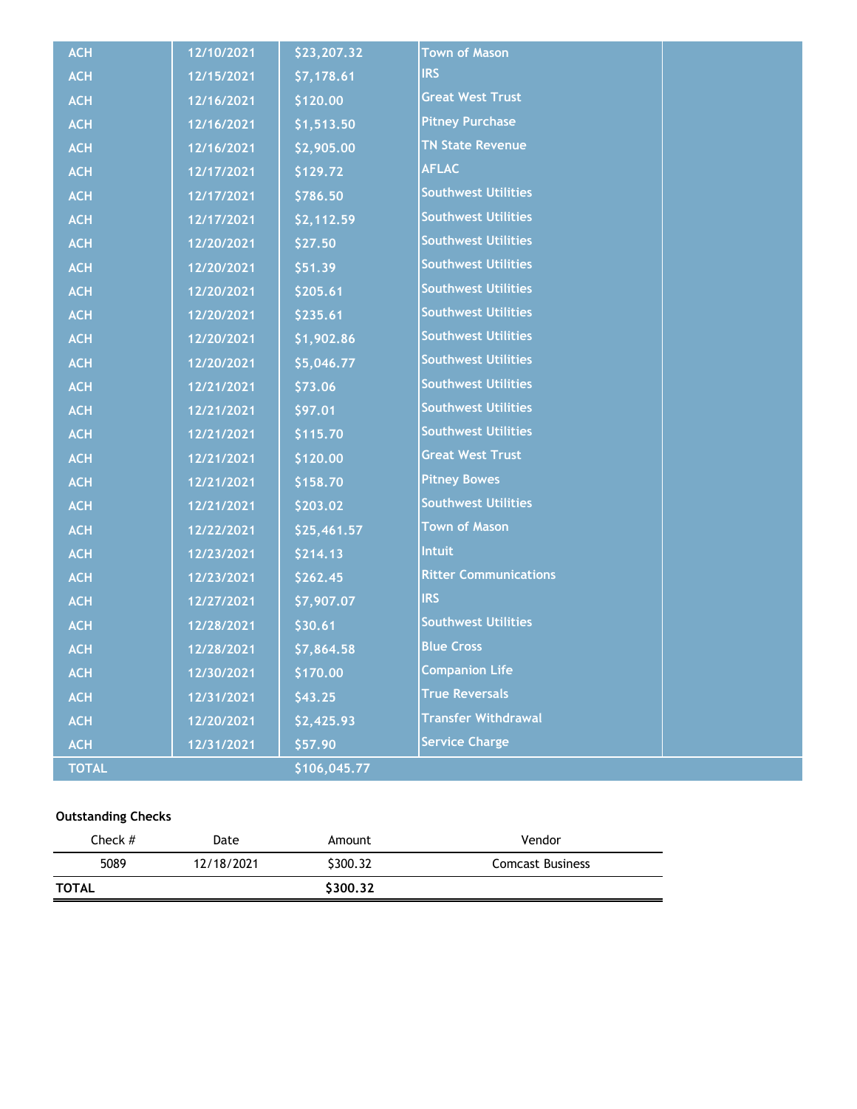| <b>ACH</b>   | 12/10/2021 | \$23,207.32  | <b>Town of Mason</b>         |  |
|--------------|------------|--------------|------------------------------|--|
| <b>ACH</b>   | 12/15/2021 | \$7,178.61   | <b>IRS</b>                   |  |
| <b>ACH</b>   | 12/16/2021 | \$120.00     | <b>Great West Trust</b>      |  |
| <b>ACH</b>   | 12/16/2021 | \$1,513.50   | <b>Pitney Purchase</b>       |  |
| <b>ACH</b>   | 12/16/2021 | \$2,905.00   | <b>TN State Revenue</b>      |  |
| <b>ACH</b>   | 12/17/2021 | \$129.72     | <b>AFLAC</b>                 |  |
| <b>ACH</b>   | 12/17/2021 | \$786.50     | <b>Southwest Utilities</b>   |  |
| <b>ACH</b>   | 12/17/2021 | \$2,112.59   | <b>Southwest Utilities</b>   |  |
| <b>ACH</b>   | 12/20/2021 | \$27.50      | <b>Southwest Utilities</b>   |  |
| <b>ACH</b>   | 12/20/2021 | \$51.39      | <b>Southwest Utilities</b>   |  |
| <b>ACH</b>   | 12/20/2021 | \$205.61     | <b>Southwest Utilities</b>   |  |
| <b>ACH</b>   | 12/20/2021 | \$235.61     | <b>Southwest Utilities</b>   |  |
| <b>ACH</b>   | 12/20/2021 | \$1,902.86   | <b>Southwest Utilities</b>   |  |
| <b>ACH</b>   | 12/20/2021 | \$5,046.77   | <b>Southwest Utilities</b>   |  |
| <b>ACH</b>   | 12/21/2021 | \$73.06      | <b>Southwest Utilities</b>   |  |
| <b>ACH</b>   | 12/21/2021 | \$97.01      | <b>Southwest Utilities</b>   |  |
| <b>ACH</b>   | 12/21/2021 | \$115.70     | <b>Southwest Utilities</b>   |  |
| <b>ACH</b>   | 12/21/2021 | \$120.00     | <b>Great West Trust</b>      |  |
| <b>ACH</b>   | 12/21/2021 | \$158.70     | <b>Pitney Bowes</b>          |  |
| <b>ACH</b>   | 12/21/2021 | \$203.02     | <b>Southwest Utilities</b>   |  |
| <b>ACH</b>   | 12/22/2021 | \$25,461.57  | <b>Town of Mason</b>         |  |
| <b>ACH</b>   | 12/23/2021 | \$214.13     | <b>Intuit</b>                |  |
| <b>ACH</b>   | 12/23/2021 | \$262.45     | <b>Ritter Communications</b> |  |
| <b>ACH</b>   | 12/27/2021 | \$7,907.07   | <b>IRS</b>                   |  |
| <b>ACH</b>   | 12/28/2021 | \$30.61      | <b>Southwest Utilities</b>   |  |
| <b>ACH</b>   | 12/28/2021 | \$7,864.58   | <b>Blue Cross</b>            |  |
| <b>ACH</b>   | 12/30/2021 | \$170.00     | <b>Companion Life</b>        |  |
| <b>ACH</b>   | 12/31/2021 | \$43.25      | <b>True Reversals</b>        |  |
| <b>ACH</b>   | 12/20/2021 | \$2,425.93   | <b>Transfer Withdrawal</b>   |  |
| <b>ACH</b>   | 12/31/2021 | \$57.90      | <b>Service Charge</b>        |  |
| <b>TOTAL</b> |            | \$106,045.77 |                              |  |

### **Outstanding Checks**

| Check #      | Date       | Amount   | Vendor                  |
|--------------|------------|----------|-------------------------|
| 5089         | 12/18/2021 | \$300.32 | <b>Comcast Business</b> |
| <b>TOTAL</b> |            | \$300.32 |                         |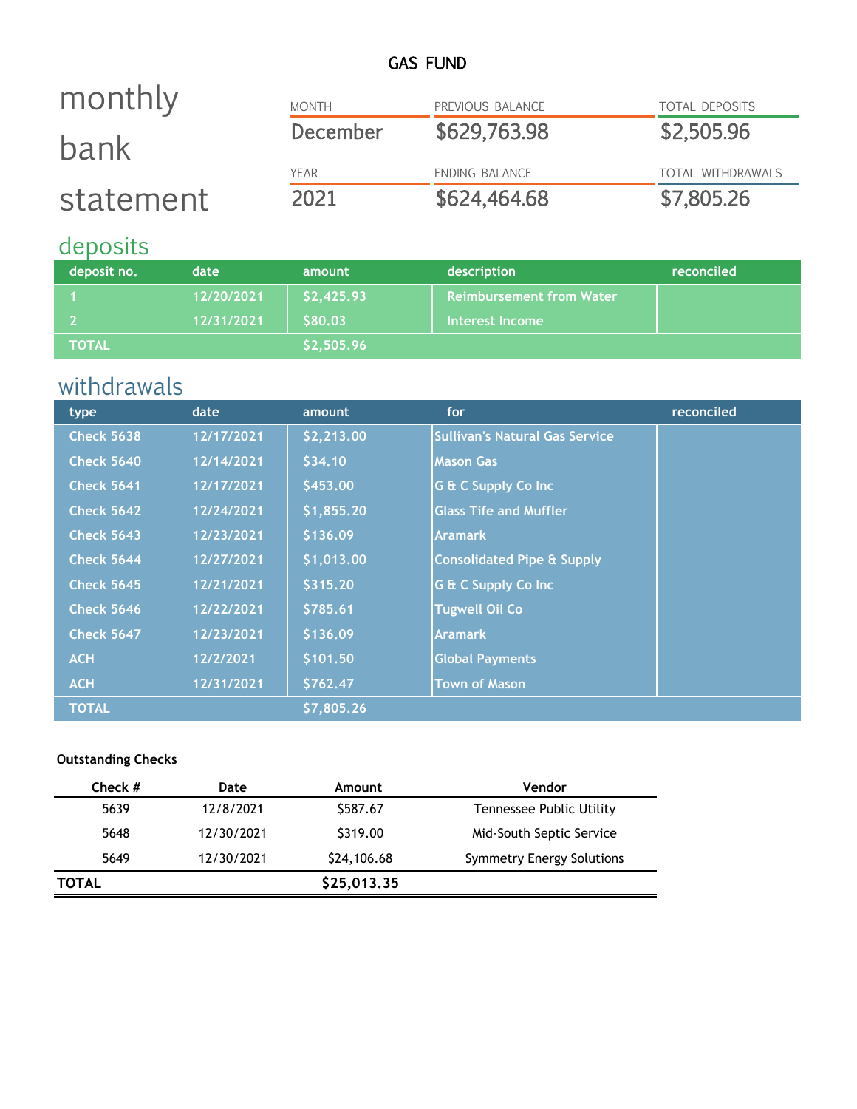## GAS FUND

### MONTH PREVIOUS BALANCE TOTAL DEPOSITS December \$629,763.98 \$2,505.96 YEAR ENDING BALANCE TOTAL WITHDRAWALS 2021 \$624,464.68 \$7,805.26 monthly bank statement

## deposits

| deposit no.    | date       | amount               | description                     | reconciled |
|----------------|------------|----------------------|---------------------------------|------------|
|                | 12/20/2021 | \$2,425.93           | <b>Reimbursement from Water</b> |            |
|                | 12/31/2021 | \$80.03 <sup> </sup> | Interest Income                 |            |
| <b>\TOTAL\</b> |            | \$2,505.96           |                                 |            |

# withdrawals

| type              | date       | amount     | for                                   | reconciled |
|-------------------|------------|------------|---------------------------------------|------------|
| <b>Check 5638</b> | 12/17/2021 | \$2,213.00 | <b>Sullivan's Natural Gas Service</b> |            |
| <b>Check 5640</b> | 12/14/2021 | \$34.10    | <b>Mason Gas</b>                      |            |
| <b>Check 5641</b> | 12/17/2021 | \$453.00   | G & C Supply Co Inc                   |            |
| <b>Check 5642</b> | 12/24/2021 | \$1,855.20 | <b>Glass Tife and Muffler</b>         |            |
| <b>Check 5643</b> | 12/23/2021 | \$136.09   | <b>Aramark</b>                        |            |
| <b>Check 5644</b> | 12/27/2021 | \$1,013.00 | <b>Consolidated Pipe &amp; Supply</b> |            |
| <b>Check 5645</b> | 12/21/2021 | \$315.20   | G & C Supply Co Inc                   |            |
| <b>Check 5646</b> | 12/22/2021 | \$785.61   | <b>Tugwell Oil Co</b>                 |            |
| <b>Check 5647</b> | 12/23/2021 | \$136.09   | <b>Aramark</b>                        |            |
| <b>ACH</b>        | 12/2/2021  | \$101.50   | <b>Global Payments</b>                |            |
| <b>ACH</b>        | 12/31/2021 | \$762.47   | <b>Town of Mason</b>                  |            |
| <b>TOTAL</b>      |            | \$7,805.26 |                                       |            |

### **Outstanding Checks**

| Check #      | Date       | Amount      | Vendor                           |
|--------------|------------|-------------|----------------------------------|
| 5639         | 12/8/2021  | \$587.67    | Tennessee Public Utility         |
| 5648         | 12/30/2021 | \$319.00    | Mid-South Septic Service         |
| 5649         | 12/30/2021 | \$24,106.68 | <b>Symmetry Energy Solutions</b> |
| <b>TOTAL</b> |            | \$25,013.35 |                                  |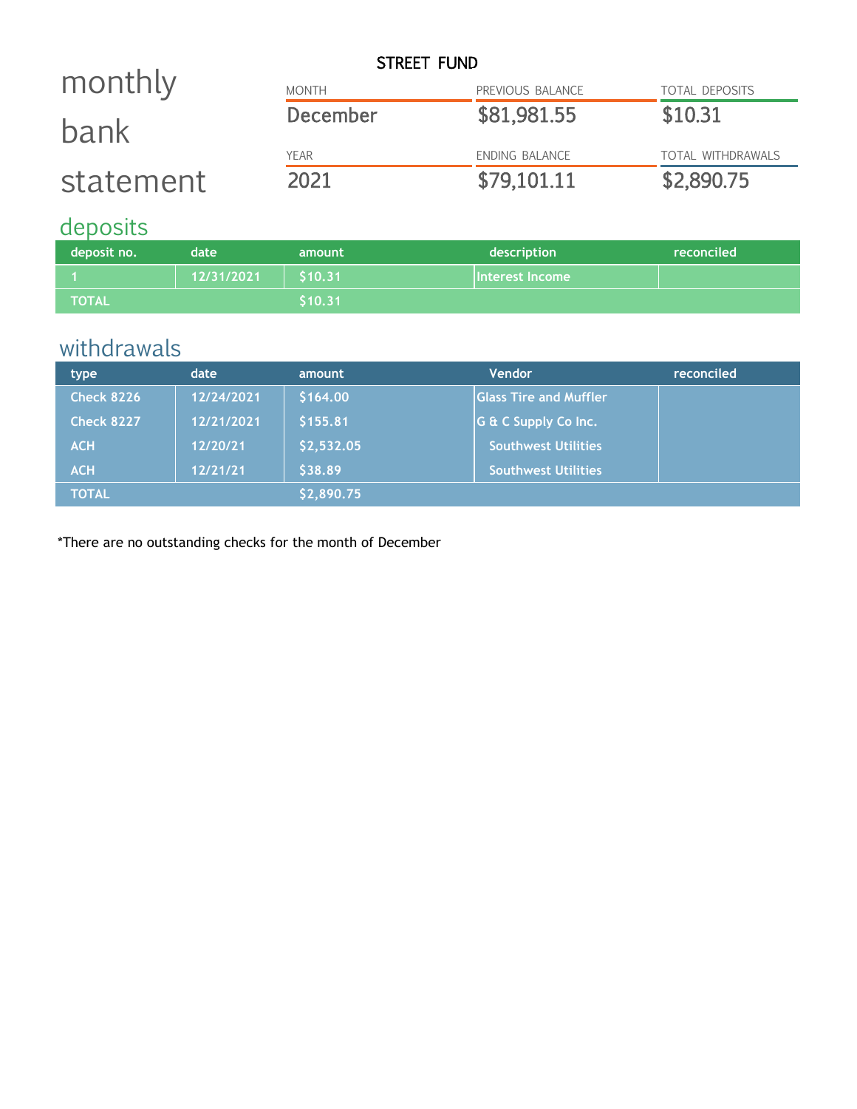|           |              | STREET FUND           |                          |
|-----------|--------------|-----------------------|--------------------------|
| monthly   | <b>MONTH</b> | PREVIOUS BALANCE      | <b>TOTAL DEPOSITS</b>    |
| bank      | December     | \$81,981.55           | \$10.31                  |
|           | <b>YFAR</b>  | <b>ENDING BALANCE</b> | <b>TOTAL WITHDRAWALS</b> |
| statement | 2021         | \$79,101.11           | \$2,890.75               |

## deposits

| deposit no.  | date       | amount  | description     | reconciled |
|--------------|------------|---------|-----------------|------------|
|              | 12/31/2021 | \$10.31 | Interest Income |            |
| <b>TOTAL</b> |            | \$10.31 |                 |            |

# withdrawals

| type              | date       | amount     | <b>Vendor</b>                  | reconciled |
|-------------------|------------|------------|--------------------------------|------------|
| <b>Check 8226</b> | 12/24/2021 | \$164.00   | <b>IGlass Tire and Muffler</b> |            |
| <b>Check 8227</b> | 12/21/2021 | \$155.81   | G & C Supply Co Inc.           |            |
| <b>ACH</b>        | 12/20/21   | \$2,532.05 | <b>Southwest Utilities</b>     |            |
| <b>ACH</b>        | 12/21/21   | \$38.89    | <b>Southwest Utilities</b>     |            |
| <b>TOTAL</b>      |            | \$2,890.75 |                                |            |

\*There are no outstanding checks for the month of December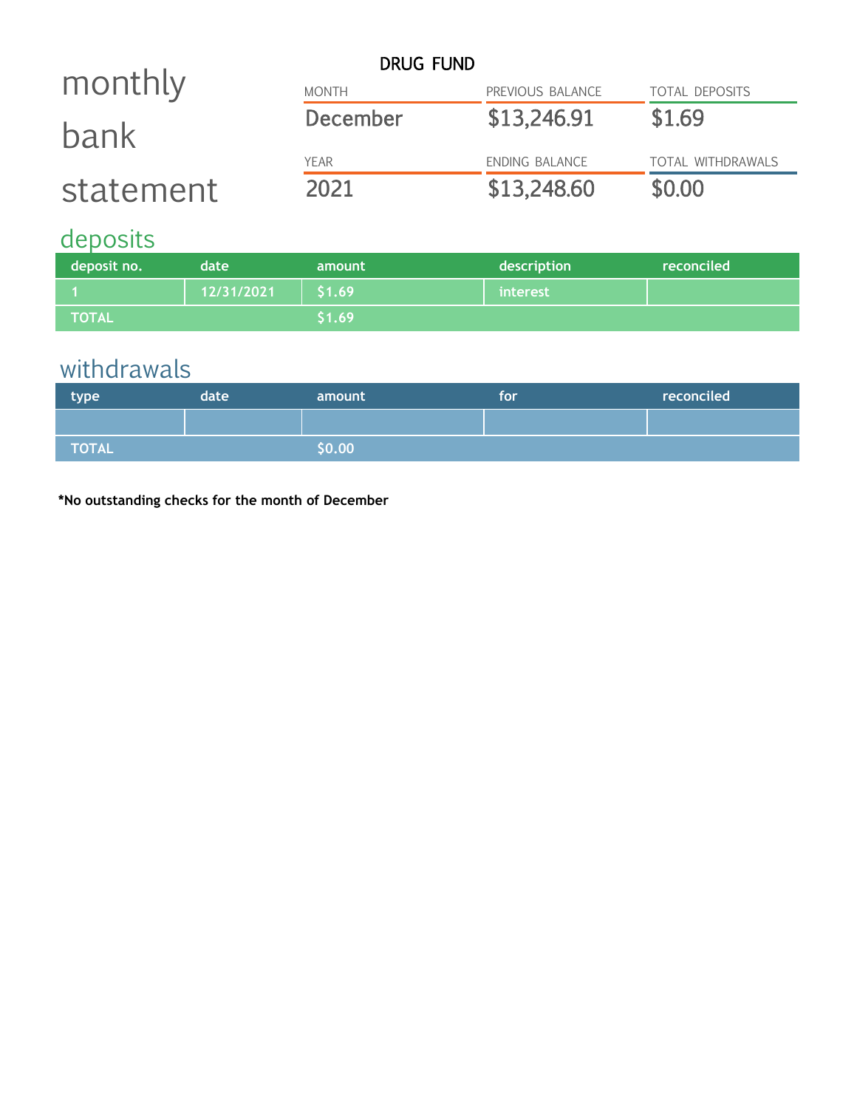|           | <b>DRUG FUND</b> |                  |                          |
|-----------|------------------|------------------|--------------------------|
| monthly   | <b>MONTH</b>     | PREVIOUS BALANCE | <b>TOTAL DEPOSITS</b>    |
| bank      | December         | \$13,246.91      | \$1.69                   |
|           | <b>YEAR</b>      | ENDING BALANCE   | <b>TOTAL WITHDRAWALS</b> |
| statement | 2021             | \$13,248.60      | \$0.00                   |

# deposits

| deposit no. | date       | amount | description | reconciled |
|-------------|------------|--------|-------------|------------|
|             | 12/31/2021 | \$1.69 | interest    |            |
| TOTAL       |            | \$1.69 |             |            |

# withdrawals

| type  | date | amount | <b>for</b> | reconciled |
|-------|------|--------|------------|------------|
|       |      |        |            |            |
| TOTAL |      | \$0.00 |            |            |

**\*No outstanding checks for the month of December**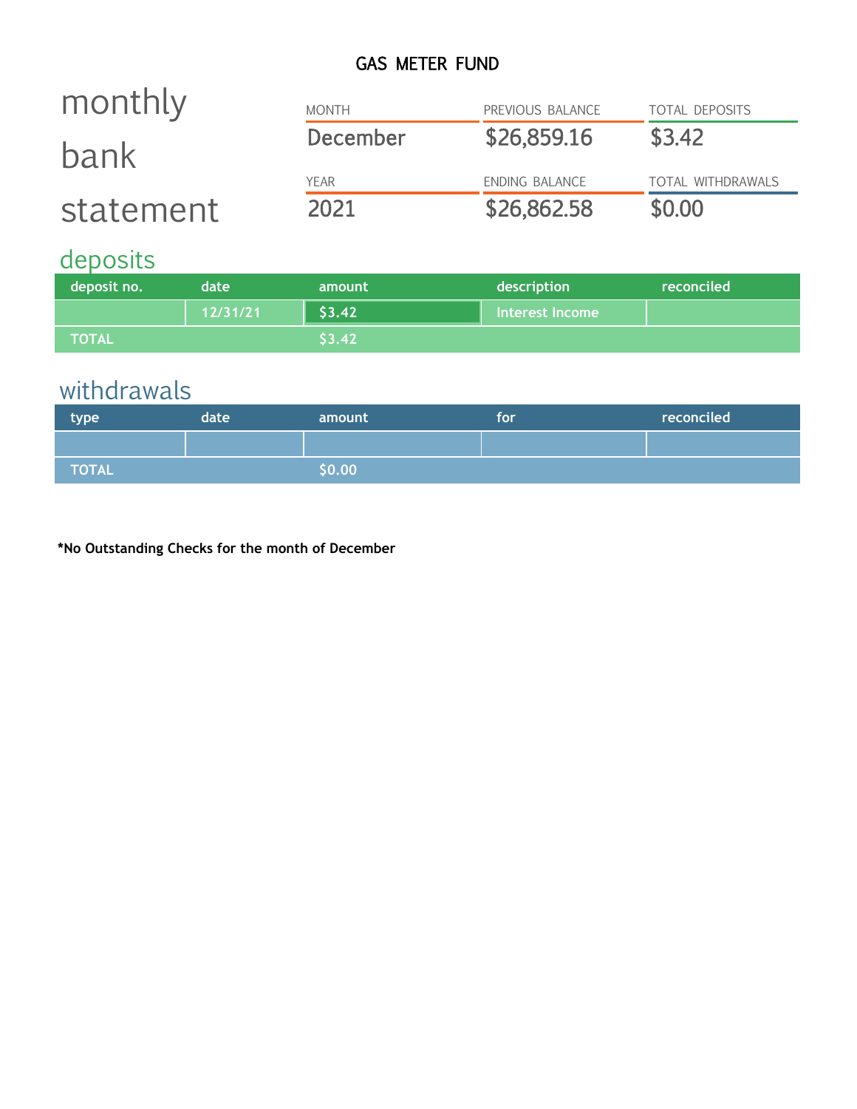## GAS METER FUND

| monthly   | <b>MONTH</b>    | PREVIOUS BALANCE | <b>TOTAL DEPOSITS</b> |
|-----------|-----------------|------------------|-----------------------|
| bank      | <b>December</b> | \$26,859.16      | \$3.42                |
|           | <b>YFAR</b>     | ENDING BALANCE   | TOTAL WITHDRAWALS     |
| statement | 2021            | \$26,862.58      | \$0.00                |

# deposits

| deposit no.    | date     | amount | description     | reconciled |
|----------------|----------|--------|-----------------|------------|
|                | 12/31/21 | \$3.42 | Interest Income |            |
| <b>\TOTAL\</b> |          | 53.42  |                 |            |

# withdrawals

| type  | date | amount | for | reconciled |
|-------|------|--------|-----|------------|
|       |      |        |     |            |
| TOTAL |      | \$0.00 |     |            |

**\*No Outstanding Checks for the month of December**